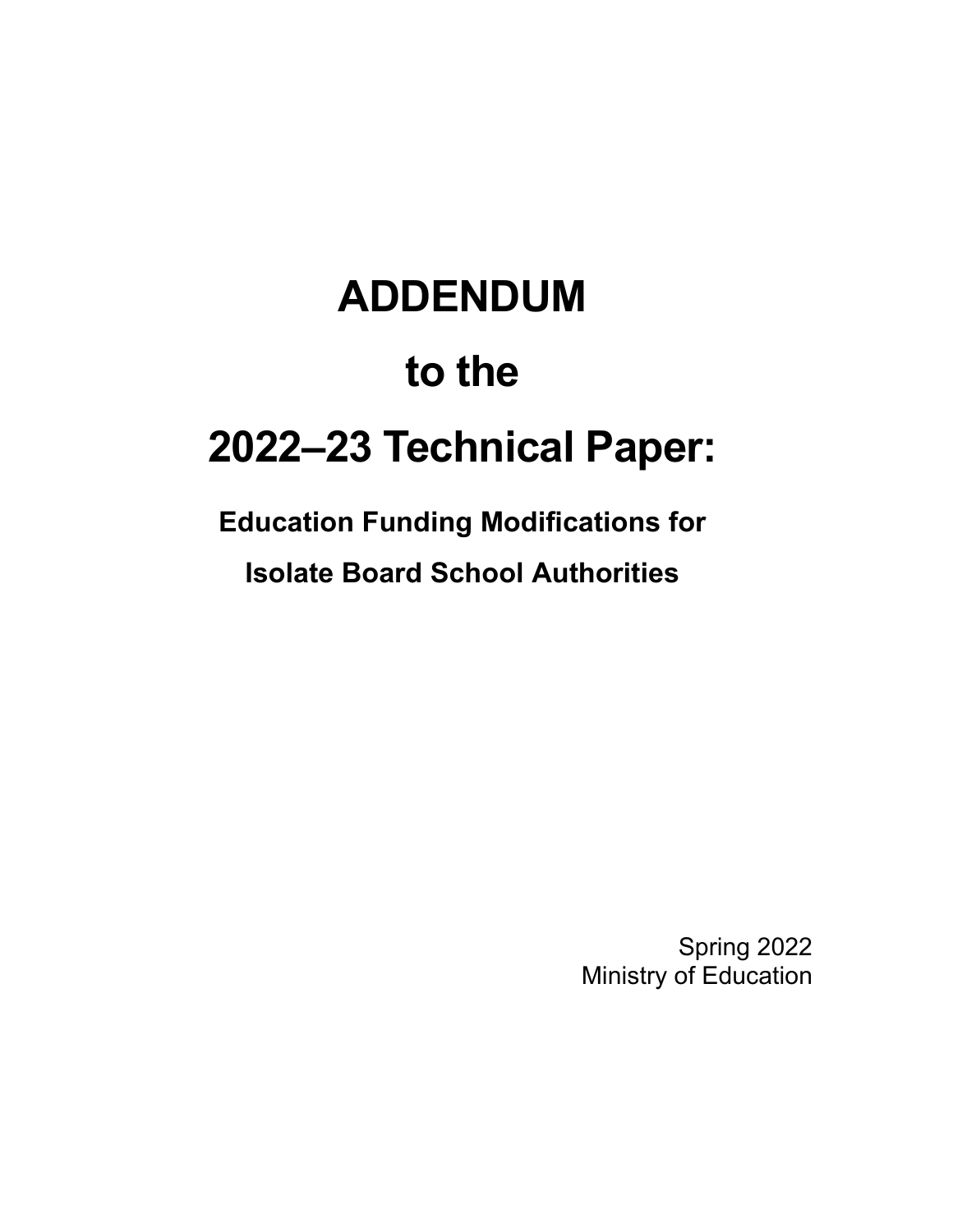# **ADDENDUM to the 2022–23 Technical Paper:**

# **Education Funding Modifications for Isolate Board School Authorities**

Spring 2022 Ministry of Education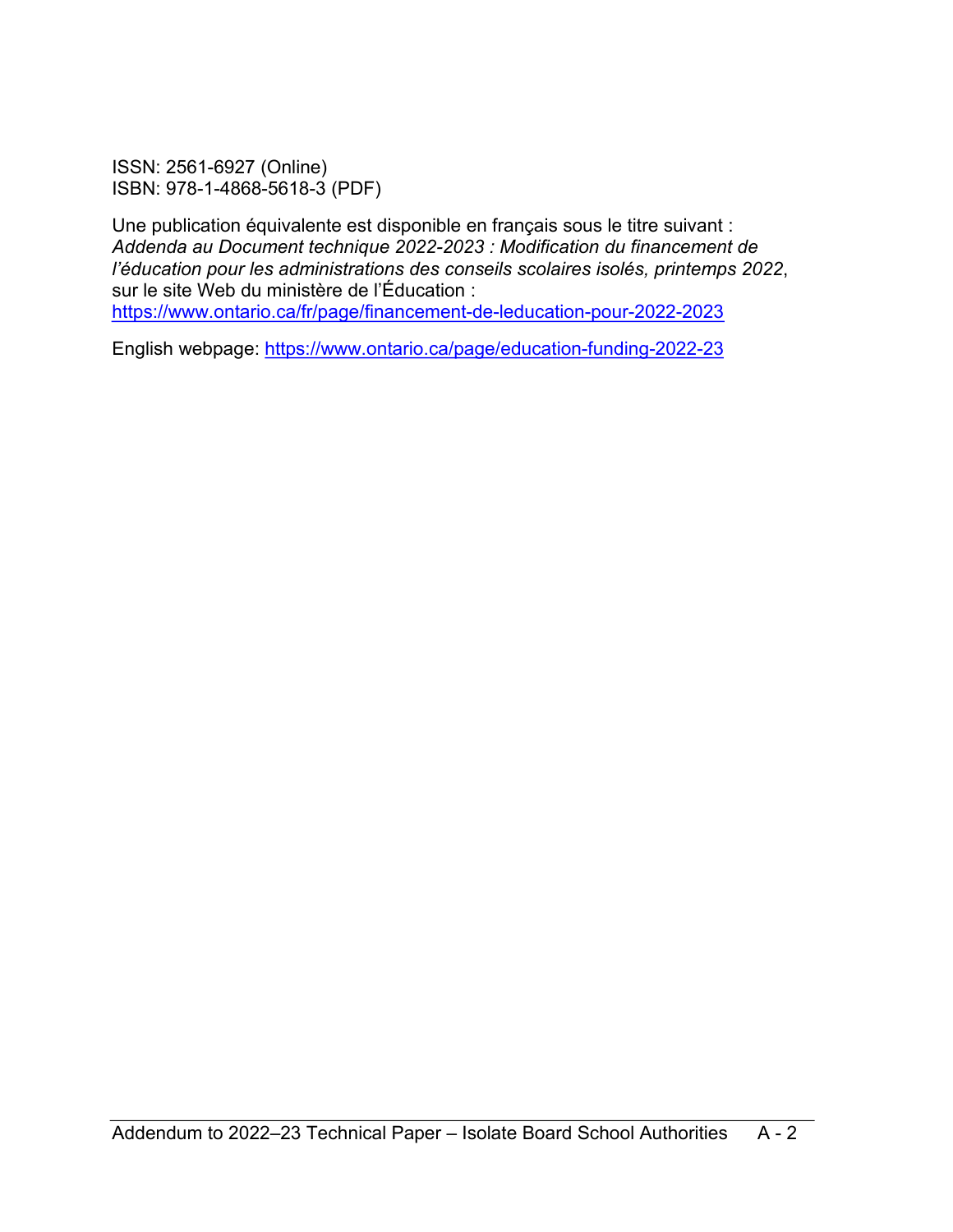ISSN: 2561-6927 (Online) ISBN: 978-1-4868-5618-3 (PDF)

Une publication équivalente est disponible en français sous le titre suivant : *Addenda au Document technique 2022-2023 : Modification du financement de l'éducation pour les administrations des conseils scolaires isolés, printemps 2022*, sur le site Web du ministère de l'Éducation : <https://www.ontario.ca/fr/page/financement-de-leducation-pour-2022-2023>

English webpage:<https://www.ontario.ca/page/education-funding-2022-23>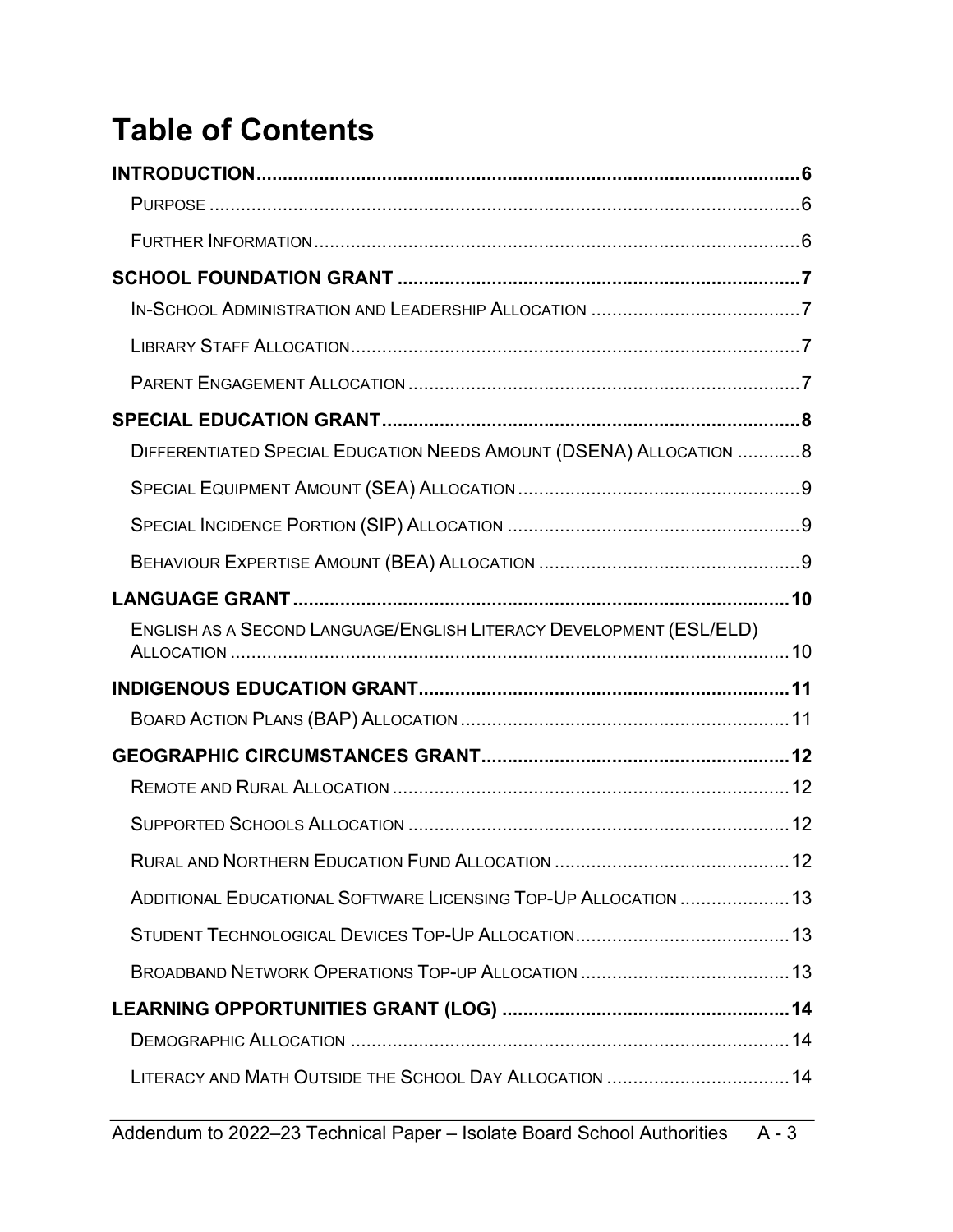# **Table of Contents**

| DIFFERENTIATED SPECIAL EDUCATION NEEDS AMOUNT (DSENA) ALLOCATION 8  |  |
|---------------------------------------------------------------------|--|
|                                                                     |  |
|                                                                     |  |
|                                                                     |  |
|                                                                     |  |
| ENGLISH AS A SECOND LANGUAGE/ENGLISH LITERACY DEVELOPMENT (ESL/ELD) |  |
|                                                                     |  |
|                                                                     |  |
|                                                                     |  |
|                                                                     |  |
|                                                                     |  |
|                                                                     |  |
| ADDITIONAL EDUCATIONAL SOFTWARE LICENSING TOP-UP ALLOCATION  13     |  |
|                                                                     |  |
|                                                                     |  |
|                                                                     |  |
|                                                                     |  |
|                                                                     |  |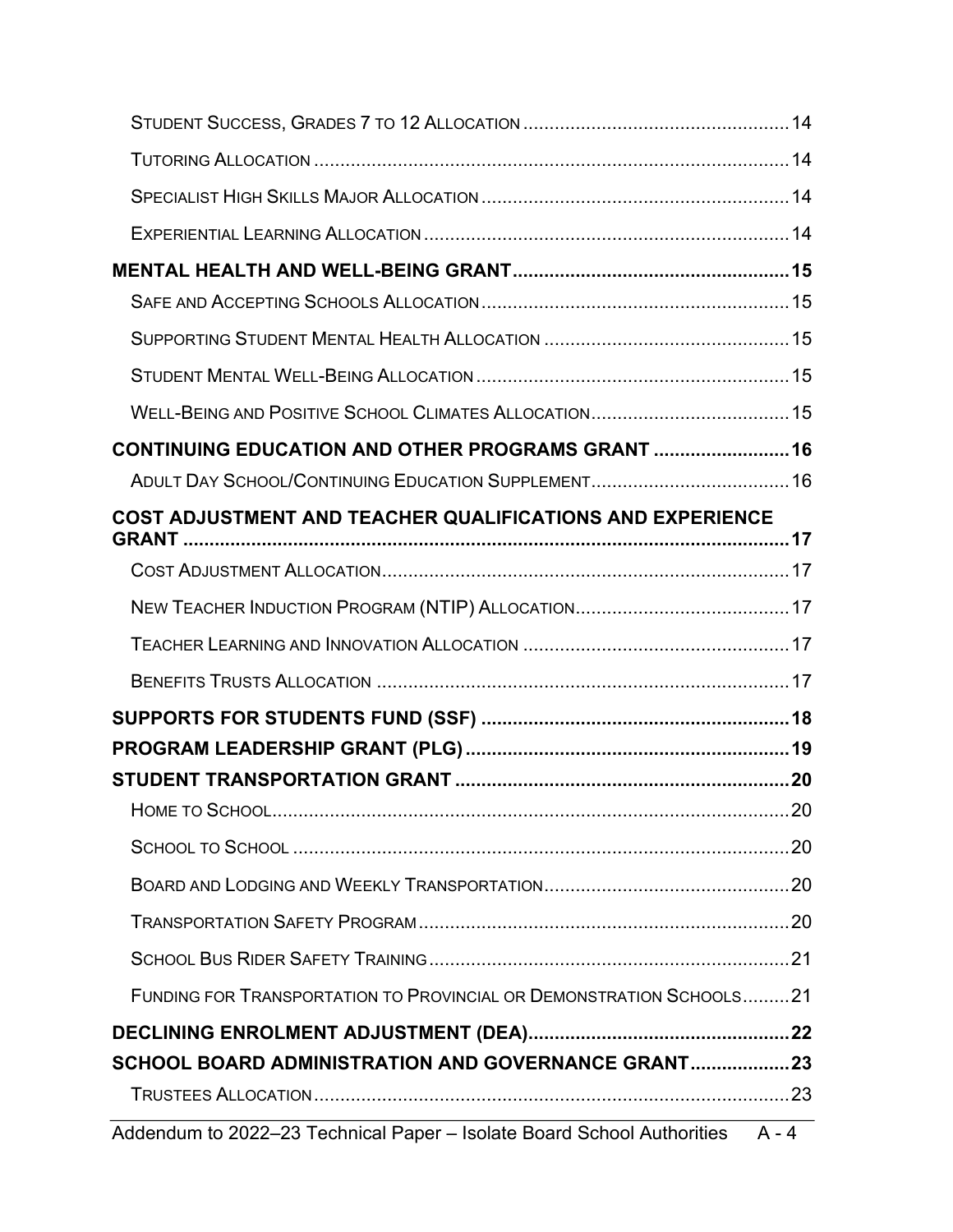| CONTINUING EDUCATION AND OTHER PROGRAMS GRANT  16                   |  |
|---------------------------------------------------------------------|--|
|                                                                     |  |
| COST ADJUSTMENT AND TEACHER QUALIFICATIONS AND EXPERIENCE           |  |
|                                                                     |  |
|                                                                     |  |
|                                                                     |  |
|                                                                     |  |
|                                                                     |  |
|                                                                     |  |
|                                                                     |  |
|                                                                     |  |
|                                                                     |  |
|                                                                     |  |
|                                                                     |  |
|                                                                     |  |
| FUNDING FOR TRANSPORTATION TO PROVINCIAL OR DEMONSTRATION SCHOOLS21 |  |
|                                                                     |  |
| SCHOOL BOARD ADMINISTRATION AND GOVERNANCE GRANT23                  |  |
|                                                                     |  |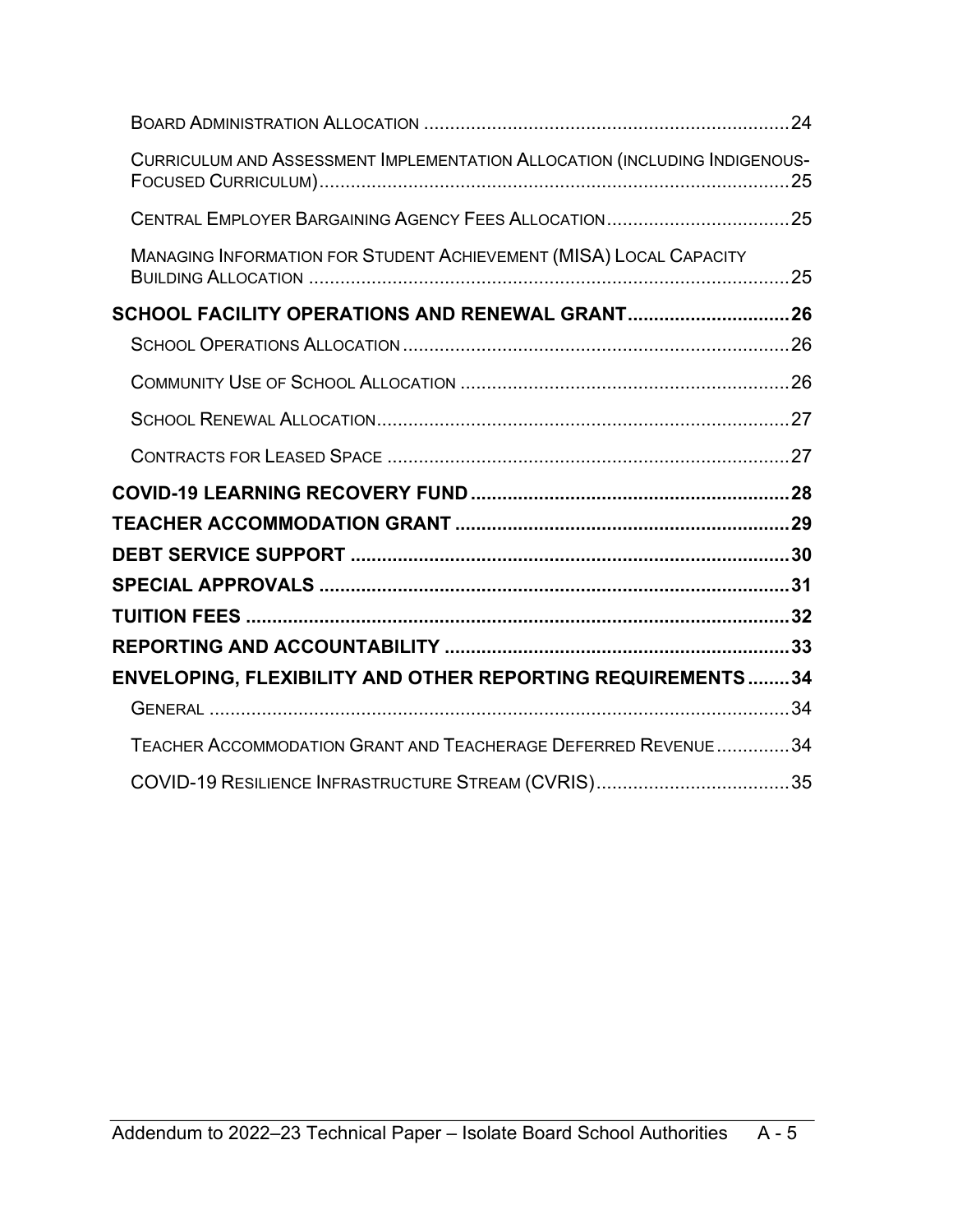| CURRICULUM AND ASSESSMENT IMPLEMENTATION ALLOCATION (INCLUDING INDIGENOUS- |  |
|----------------------------------------------------------------------------|--|
|                                                                            |  |
| <b>MANAGING INFORMATION FOR STUDENT ACHIEVEMENT (MISA) LOCAL CAPACITY</b>  |  |
| SCHOOL FACILITY OPERATIONS AND RENEWAL GRANT26                             |  |
|                                                                            |  |
|                                                                            |  |
|                                                                            |  |
|                                                                            |  |
|                                                                            |  |
|                                                                            |  |
|                                                                            |  |
|                                                                            |  |
|                                                                            |  |
|                                                                            |  |
| ENVELOPING, FLEXIBILITY AND OTHER REPORTING REQUIREMENTS34                 |  |
|                                                                            |  |
| TEACHER ACCOMMODATION GRANT AND TEACHERAGE DEFERRED REVENUE  34            |  |
| COVID-19 RESILIENCE INFRASTRUCTURE STREAM (CVRIS)35                        |  |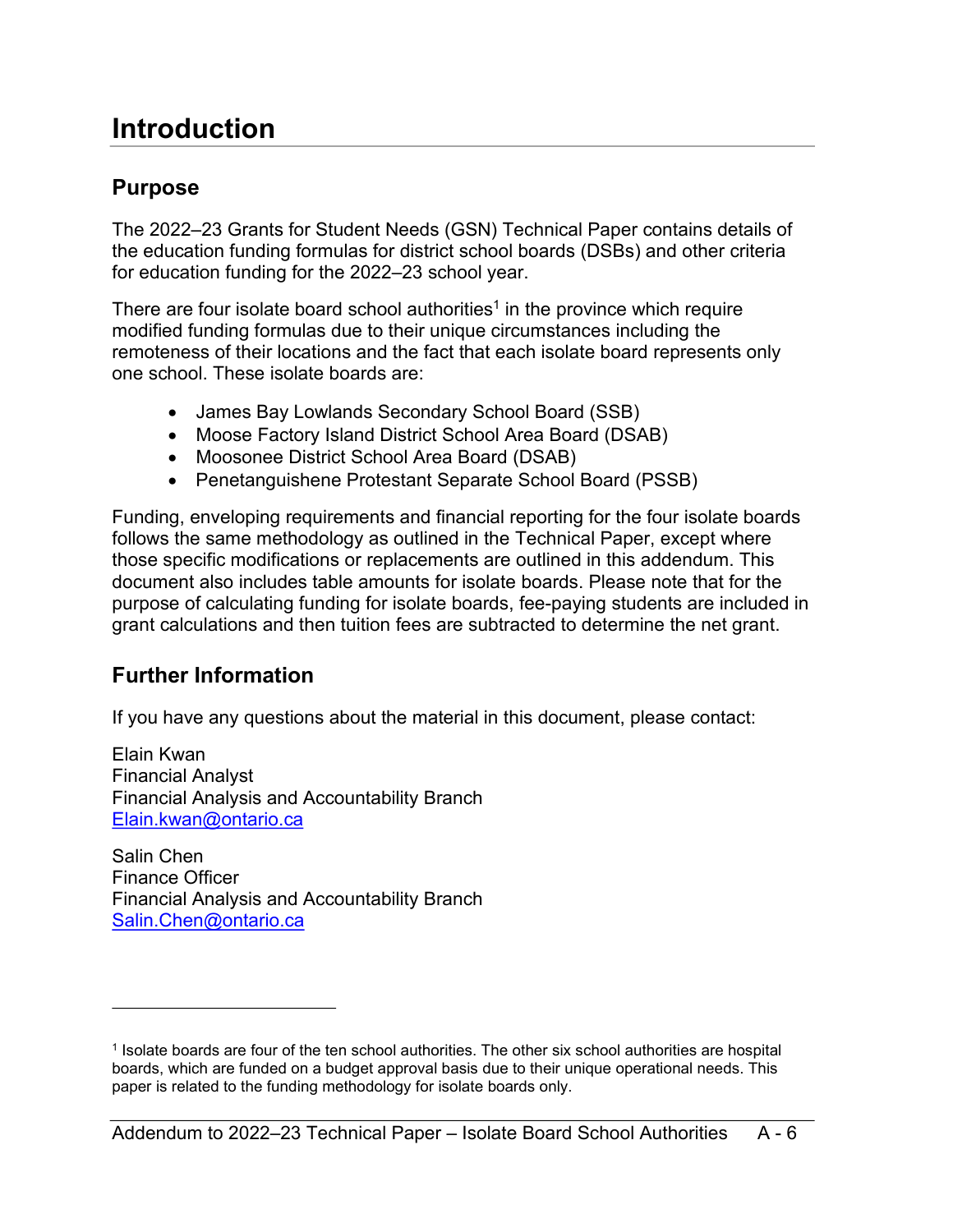### <span id="page-5-0"></span>**Introduction**

### <span id="page-5-1"></span>**Purpose**

The 2022–23 Grants for Student Needs (GSN) Technical Paper contains details of the education funding formulas for district school boards (DSBs) and other criteria for education funding for the 2022–23 school year.

There are four isolate board school authorities<sup>[1](#page-5-3)</sup> in the province which require modified funding formulas due to their unique circumstances including the remoteness of their locations and the fact that each isolate board represents only one school. These isolate boards are:

- <span id="page-5-4"></span>• James Bay Lowlands Secondary School Board (SSB)
- Moose Factory Island District School Area Board (DSAB)
- Moosonee District School Area Board (DSAB)
- Penetanguishene Protestant Separate School Board (PSSB)

Funding, enveloping requirements and financial reporting for the four isolate boards follows the same methodology as outlined in the Technical Paper, except where those specific modifications or replacements are outlined in this addendum. This document also includes table amounts for isolate boards. Please note that for the purpose of calculating funding for isolate boards, fee-paying students are included in grant calculations and then tuition fees are subtracted to determine the net grant.

### <span id="page-5-2"></span>**Further Information**

If you have any questions about the material in this document, please contact:

Elain Kwan Financial Analyst Financial Analysis and Accountability Branch [Elain.kwan@ontario.ca](mailto:Elain.kwan@ontario.ca)

Salin Chen Finance Officer Financial Analysis and Accountability Branch [Salin.Chen@ontario.ca](mailto:Salin.Chen@ontario.ca)

<span id="page-5-3"></span>[<sup>1</sup>](#page-5-4) Isolate boards are four of the ten school authorities. The other six school authorities are hospital boards, which are funded on a budget approval basis due to their unique operational needs. This paper is related to the funding methodology for isolate boards only.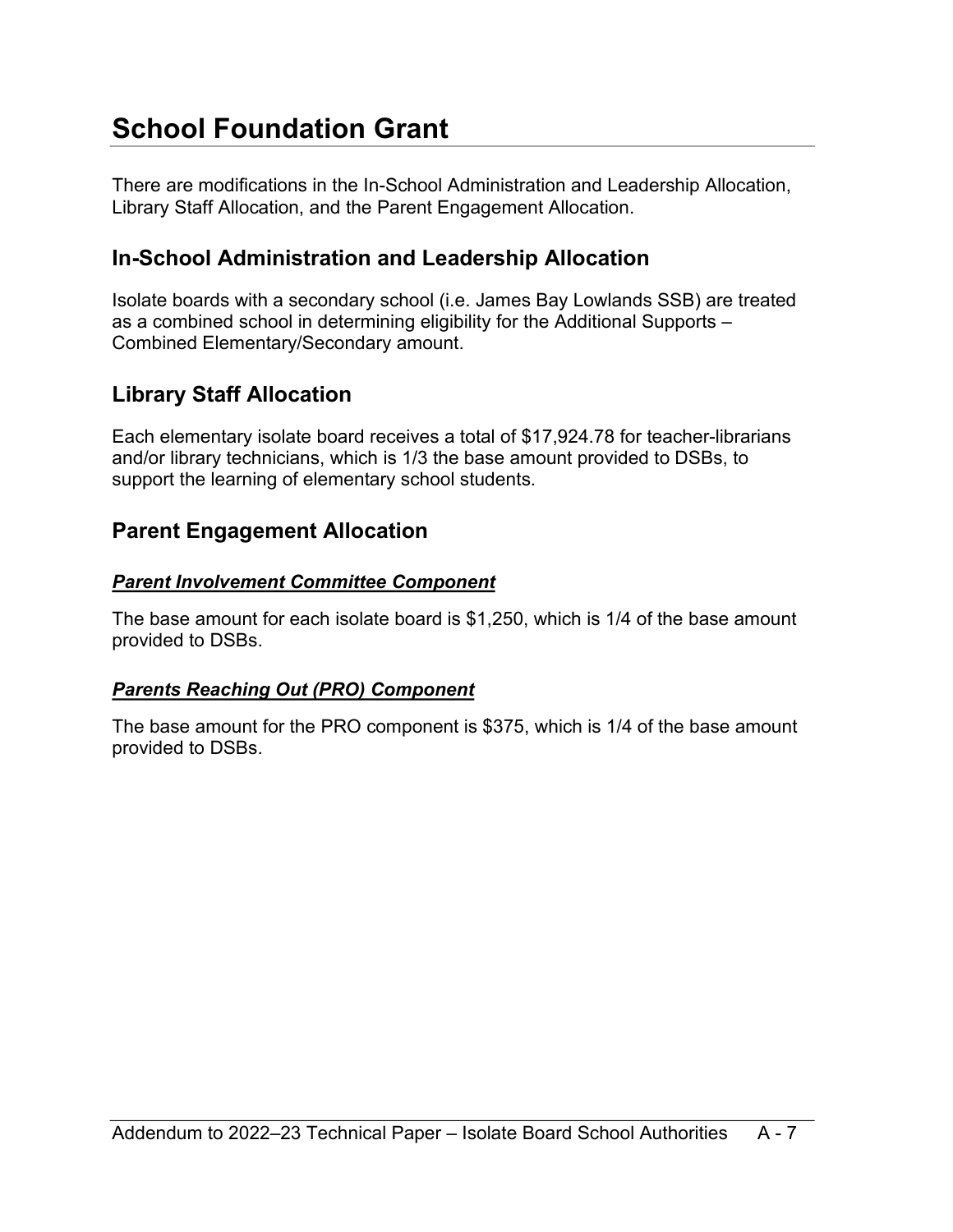# <span id="page-6-0"></span>**School Foundation Grant**

There are modifications in the In-School Administration and Leadership Allocation, Library Staff Allocation, and the Parent Engagement Allocation.

### <span id="page-6-1"></span>**In-School Administration and Leadership Allocation**

Isolate boards with a secondary school (i.e. James Bay Lowlands SSB) are treated as a combined school in determining eligibility for the Additional Supports – Combined Elementary/Secondary amount.

### <span id="page-6-2"></span>**Library Staff Allocation**

Each elementary isolate board receives a total of \$17,924.78 for teacher-librarians and/or library technicians, which is 1/3 the base amount provided to DSBs, to support the learning of elementary school students.

### <span id="page-6-3"></span>**Parent Engagement Allocation**

#### *Parent Involvement Committee Component*

The base amount for each isolate board is \$1,250, which is 1/4 of the base amount provided to DSBs.

#### *Parents Reaching Out (PRO) Component*

The base amount for the PRO component is \$375, which is 1/4 of the base amount provided to DSBs.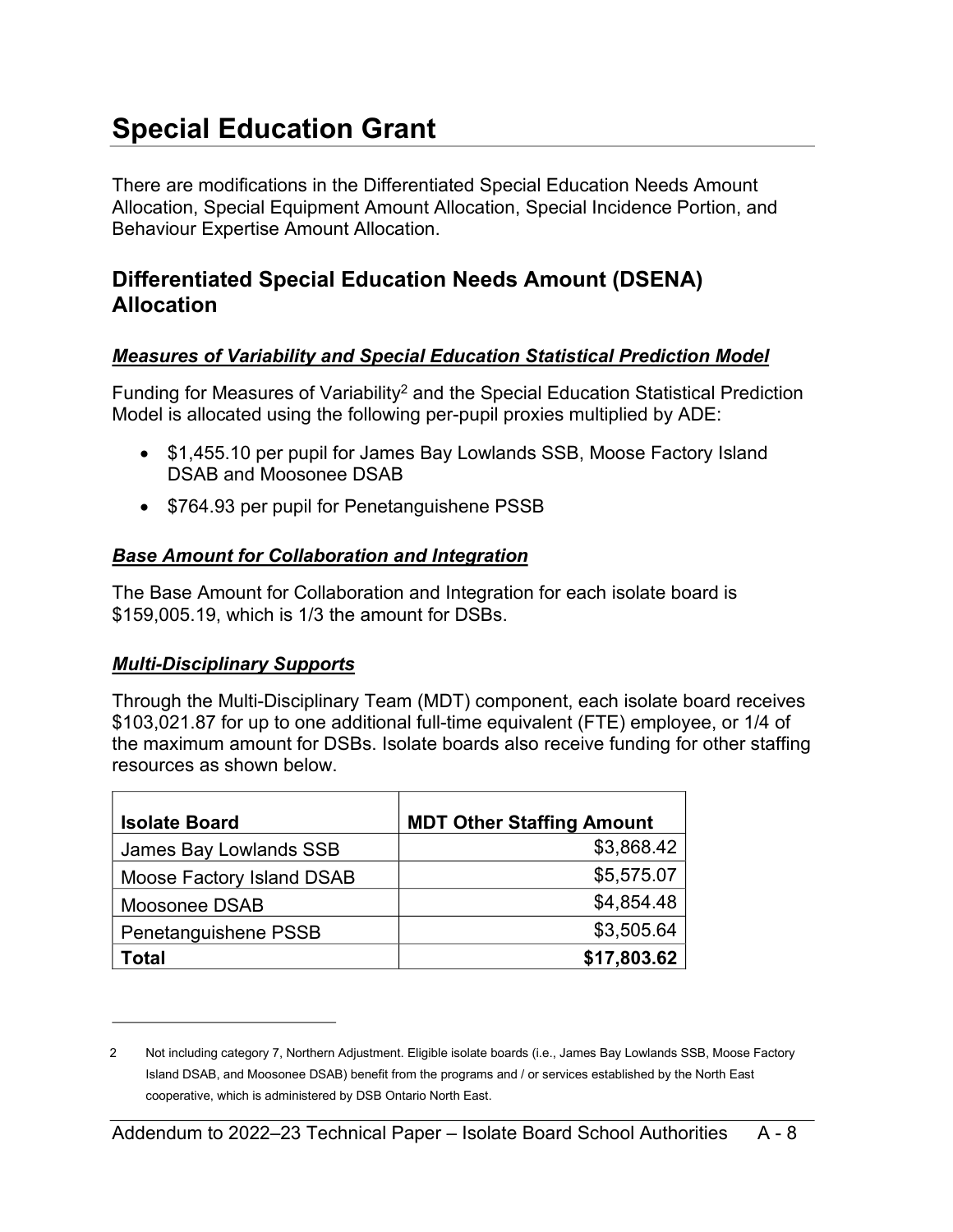# <span id="page-7-0"></span>**Special Education Grant**

There are modifications in the Differentiated Special Education Needs Amount Allocation, Special Equipment Amount Allocation, Special Incidence Portion, and Behaviour Expertise Amount Allocation.

### <span id="page-7-1"></span>**Differentiated Special Education Needs Amount (DSENA) Allocation**

#### *Measures of Variability and Special Education Statistical Prediction Model*

Funding for Measures of Variability[2](#page-7-2) and the Special Education Statistical Prediction Model is allocated using the following per-pupil proxies multiplied by ADE:

- <span id="page-7-3"></span>• \$1,455.10 per pupil for James Bay Lowlands SSB, Moose Factory Island DSAB and Moosonee DSAB
- \$764.93 per pupil for Penetanguishene PSSB

#### *Base Amount for Collaboration and Integration*

The Base Amount for Collaboration and Integration for each isolate board is \$159,005.19, which is 1/3 the amount for DSBs.

#### *Multi-Disciplinary Supports*

Through the Multi-Disciplinary Team (MDT) component, each isolate board receives \$103,021.87 for up to one additional full-time equivalent (FTE) employee, or 1/4 of the maximum amount for DSBs. Isolate boards also receive funding for other staffing resources as shown below.

| <b>Isolate Board</b>      | <b>MDT Other Staffing Amount</b> |
|---------------------------|----------------------------------|
| James Bay Lowlands SSB    | \$3,868.42                       |
| Moose Factory Island DSAB | \$5,575.07                       |
| Moosonee DSAB             | \$4,854.48                       |
| Penetanguishene PSSB      | \$3,505.64                       |
| Total                     | \$17,803.62                      |

<span id="page-7-2"></span>[<sup>2</sup>](#page-7-3) Not including category 7, Northern Adjustment. Eligible isolate boards (i.e., James Bay Lowlands SSB, Moose Factory Island DSAB, and Moosonee DSAB) benefit from the programs and / or services established by the North East cooperative, which is administered by DSB Ontario North East.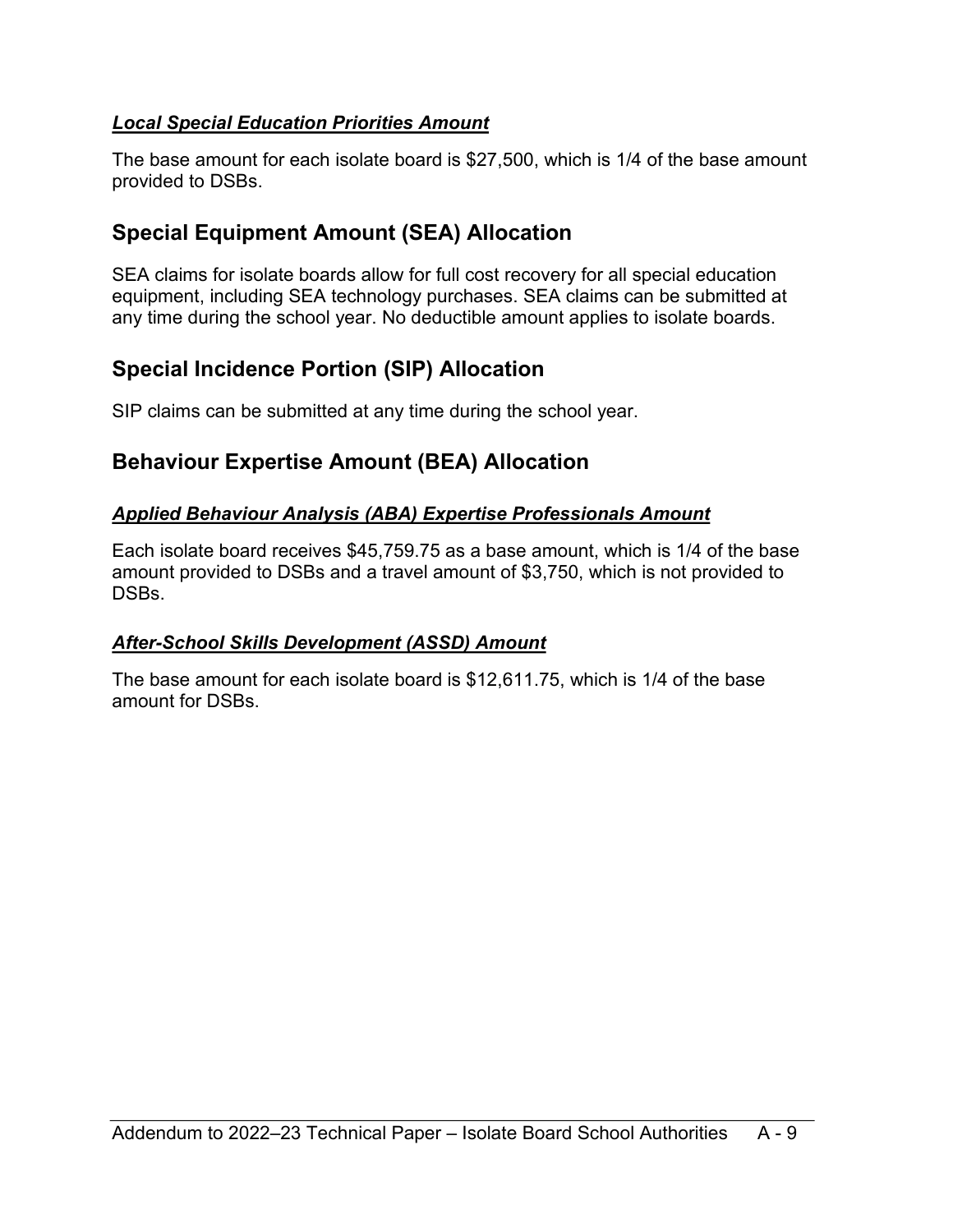#### *Local Special Education Priorities Amount*

The base amount for each isolate board is \$27,500, which is 1/4 of the base amount provided to DSBs.

### <span id="page-8-0"></span>**Special Equipment Amount (SEA) Allocation**

SEA claims for isolate boards allow for full cost recovery for all special education equipment, including SEA technology purchases. SEA claims can be submitted at any time during the school year. No deductible amount applies to isolate boards.

### <span id="page-8-1"></span>**Special Incidence Portion (SIP) Allocation**

SIP claims can be submitted at any time during the school year.

### <span id="page-8-2"></span>**Behaviour Expertise Amount (BEA) Allocation**

#### *Applied Behaviour Analysis (ABA) Expertise Professionals Amount*

Each isolate board receives \$45,759.75 as a base amount, which is 1/4 of the base amount provided to DSBs and a travel amount of \$3,750, which is not provided to DSB<sub>s</sub>

#### *After-School Skills Development (ASSD) Amount*

The base amount for each isolate board is \$12,611.75, which is 1/4 of the base amount for DSBs.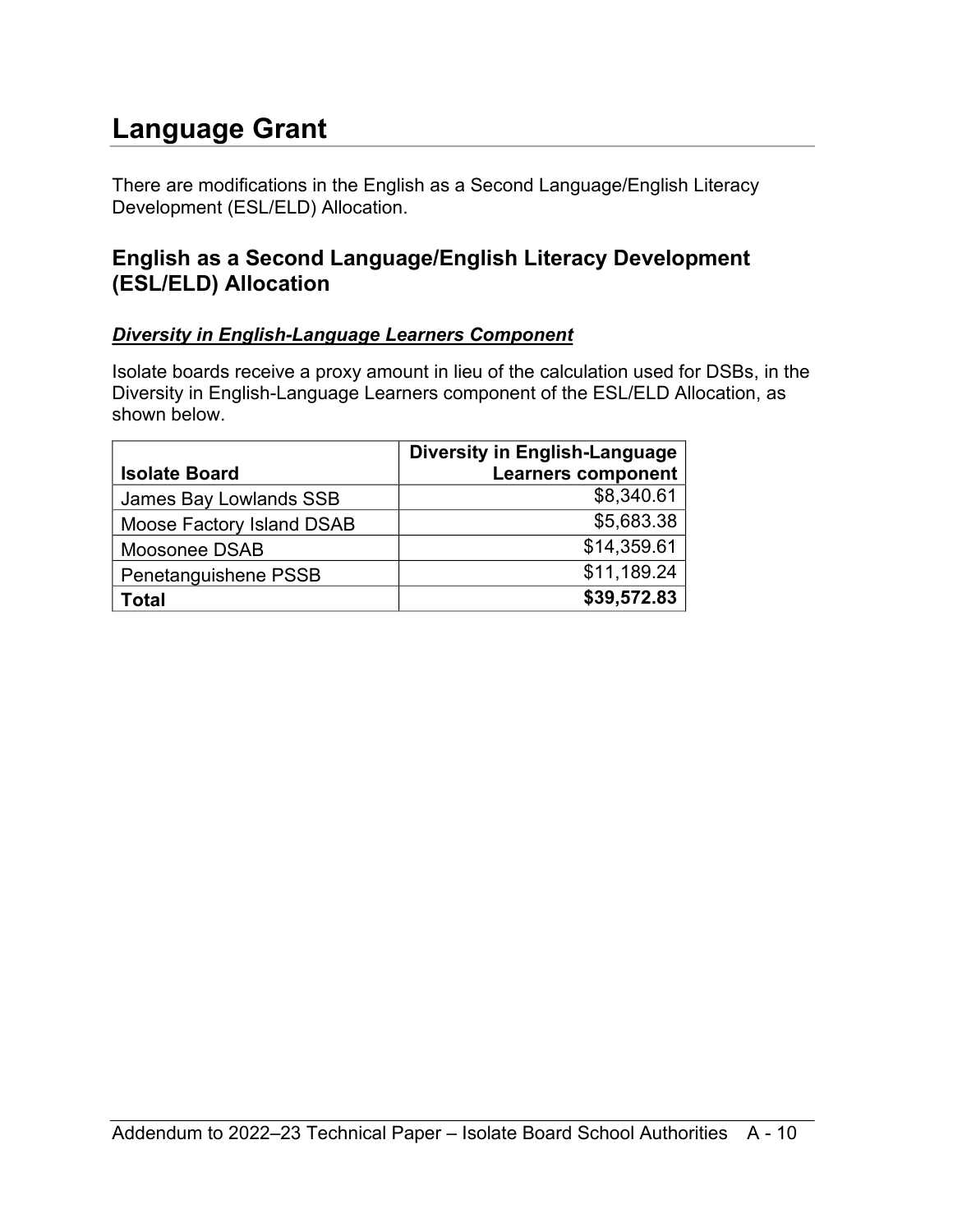### <span id="page-9-0"></span>**Language Grant**

There are modifications in the English as a Second Language/English Literacy Development (ESL/ELD) Allocation.

### <span id="page-9-1"></span>**English as a Second Language/English Literacy Development (ESL/ELD) Allocation**

#### *Diversity in English-Language Learners Component*

Isolate boards receive a proxy amount in lieu of the calculation used for DSBs, in the Diversity in English-Language Learners component of the ESL/ELD Allocation, as shown below.

| <b>Isolate Board</b>      | <b>Diversity in English-Language</b><br><b>Learners component</b> |
|---------------------------|-------------------------------------------------------------------|
| James Bay Lowlands SSB    | \$8,340.61                                                        |
| Moose Factory Island DSAB | \$5,683.38                                                        |
| Moosonee DSAB             | \$14,359.61                                                       |
| Penetanguishene PSSB      | \$11,189.24                                                       |
| Total                     | \$39,572.83                                                       |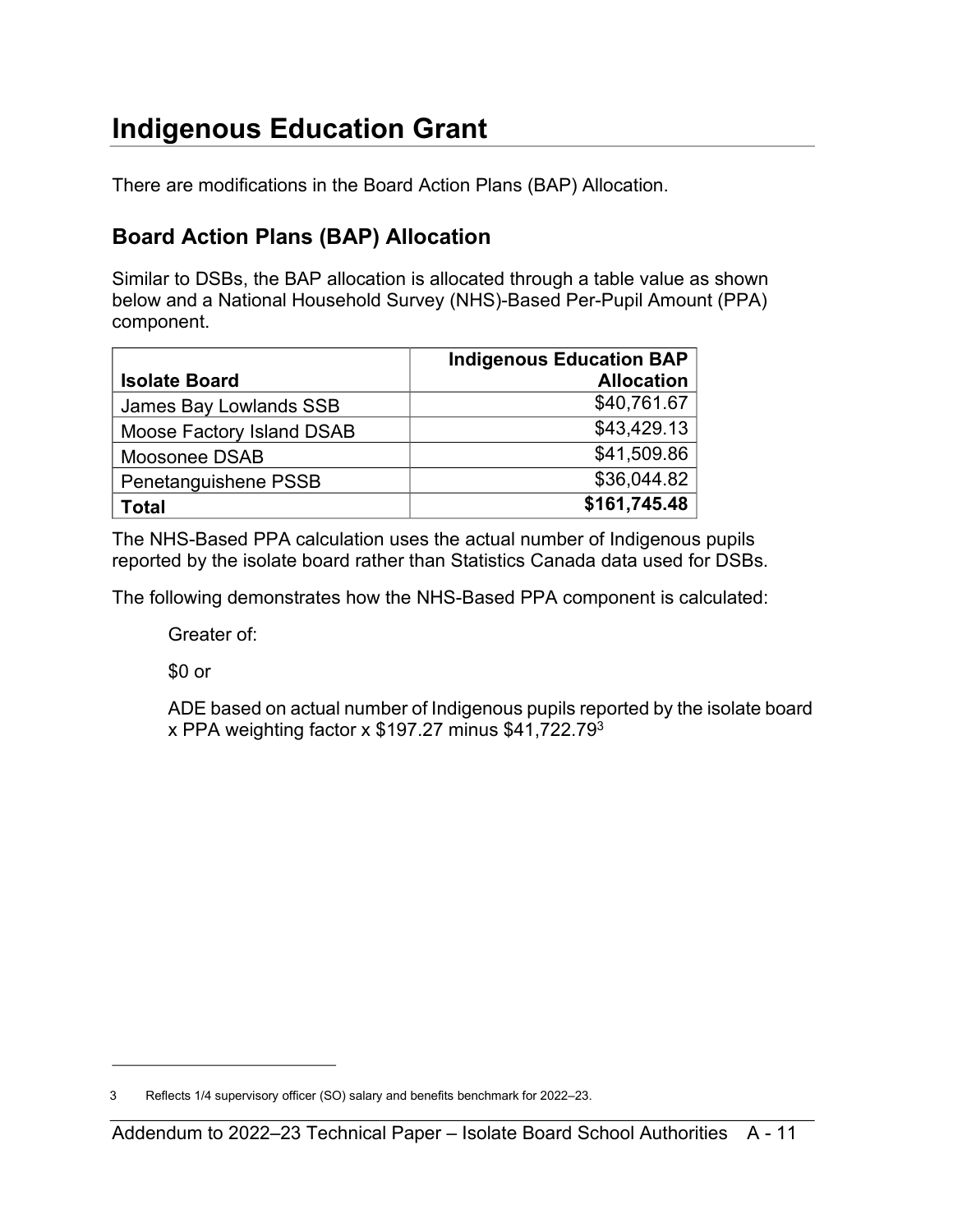# <span id="page-10-0"></span>**Indigenous Education Grant**

There are modifications in the Board Action Plans (BAP) Allocation.

### <span id="page-10-1"></span>**Board Action Plans (BAP) Allocation**

Similar to DSBs, the BAP allocation is allocated through a table value as shown below and a National Household Survey (NHS)-Based Per-Pupil Amount (PPA) component.

|                           | <b>Indigenous Education BAP</b> |
|---------------------------|---------------------------------|
| <b>Isolate Board</b>      | <b>Allocation</b>               |
| James Bay Lowlands SSB    | \$40,761.67                     |
| Moose Factory Island DSAB | \$43,429.13                     |
| Moosonee DSAB             | \$41,509.86                     |
| Penetanguishene PSSB      | \$36,044.82                     |
| Total                     | \$161,745.48                    |

The NHS-Based PPA calculation uses the actual number of Indigenous pupils reported by the isolate board rather than Statistics Canada data used for DSBs.

The following demonstrates how the NHS-Based PPA component is calculated:

Greater of:

\$0 or

<span id="page-10-3"></span>ADE based on actual number of Indigenous pupils reported by the isolate board x PPA weighting factor x  $$197.27$  minus  $$41,722.79^3$  $$41,722.79^3$ 

<span id="page-10-2"></span>[<sup>3</sup>](#page-10-3) Reflects 1/4 supervisory officer (SO) salary and benefits benchmark for 2022–23.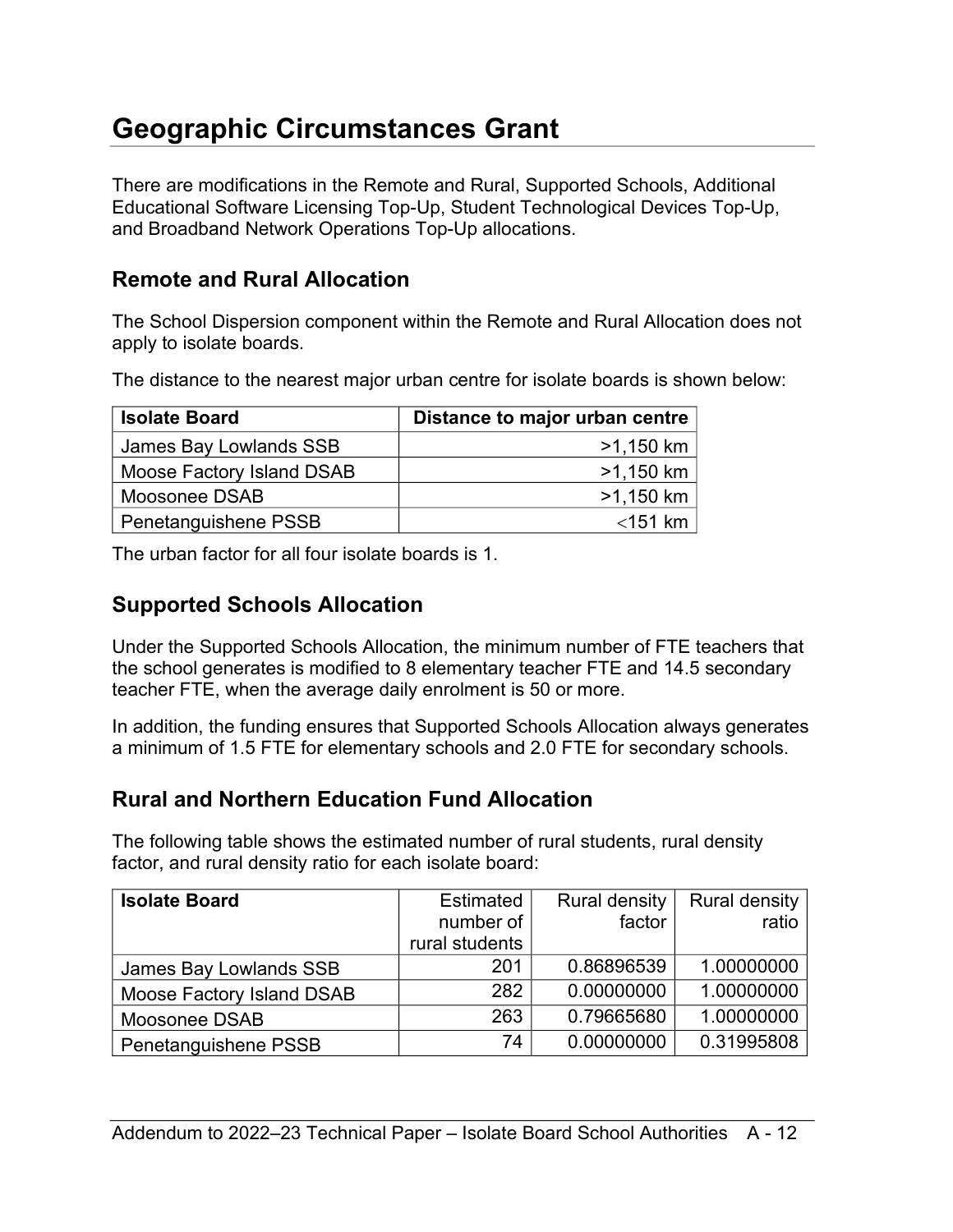### <span id="page-11-0"></span>**Geographic Circumstances Grant**

There are modifications in the Remote and Rural, Supported Schools, Additional Educational Software Licensing Top-Up, Student Technological Devices Top-Up, and Broadband Network Operations Top-Up allocations.

### <span id="page-11-1"></span>**Remote and Rural Allocation**

The School Dispersion component within the Remote and Rural Allocation does not apply to isolate boards.

The distance to the nearest major urban centre for isolate boards is shown below:

| <b>Isolate Board</b>      | Distance to major urban centre |
|---------------------------|--------------------------------|
| James Bay Lowlands SSB    | $>1,150$ km                    |
| Moose Factory Island DSAB | $>1,150$ km                    |
| Moosonee DSAB             | $>1,150$ km                    |
| Penetanguishene PSSB      | $<$ 151 km                     |

The urban factor for all four isolate boards is 1.

#### <span id="page-11-2"></span>**Supported Schools Allocation**

Under the Supported Schools Allocation, the minimum number of FTE teachers that the school generates is modified to 8 elementary teacher FTE and 14.5 secondary teacher FTE, when the average daily enrolment is 50 or more.

In addition, the funding ensures that Supported Schools Allocation always generates a minimum of 1.5 FTE for elementary schools and 2.0 FTE for secondary schools.

### <span id="page-11-3"></span>**Rural and Northern Education Fund Allocation**

The following table shows the estimated number of rural students, rural density factor, and rural density ratio for each isolate board:

| <b>Isolate Board</b>      | <b>Estimated</b> | <b>Rural density</b> | <b>Rural density</b> |
|---------------------------|------------------|----------------------|----------------------|
|                           | number of        | factor               | ratio                |
|                           | rural students   |                      |                      |
| James Bay Lowlands SSB    | 201              | 0.86896539           | 1.00000000           |
| Moose Factory Island DSAB | 282              | 0.00000000           | 1.00000000           |
| Moosonee DSAB             | 263              | 0.79665680           | 1.00000000           |
| Penetanguishene PSSB      | 74               | 0.00000000           | 0.31995808           |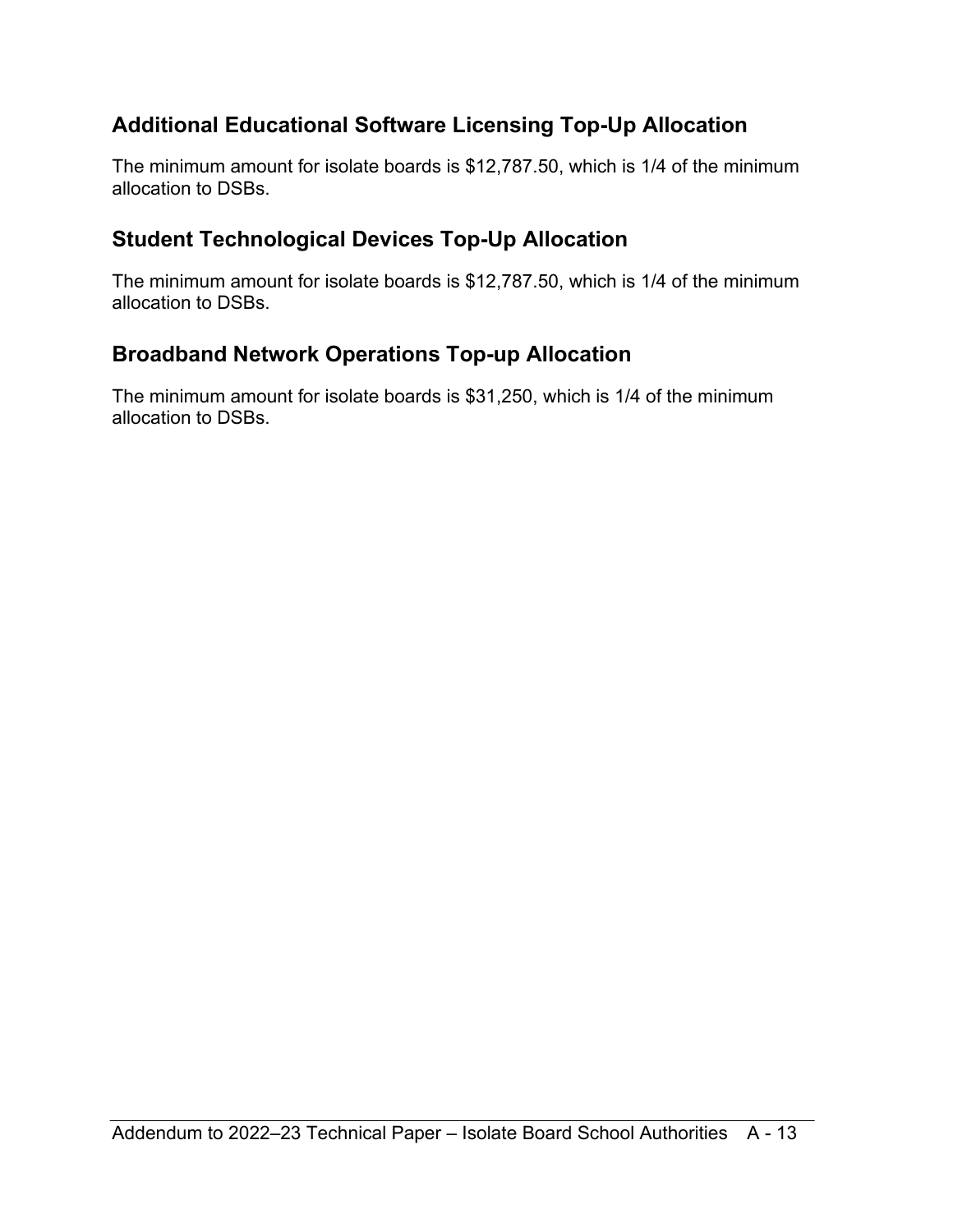### <span id="page-12-0"></span>**Additional Educational Software Licensing Top-Up Allocation**

The minimum amount for isolate boards is \$12,787.50, which is 1/4 of the minimum allocation to DSBs.

### <span id="page-12-1"></span>**Student Technological Devices Top-Up Allocation**

The minimum amount for isolate boards is \$12,787.50, which is 1/4 of the minimum allocation to DSBs.

### <span id="page-12-2"></span>**Broadband Network Operations Top-up Allocation**

The minimum amount for isolate boards is \$31,250, which is 1/4 of the minimum allocation to DSBs.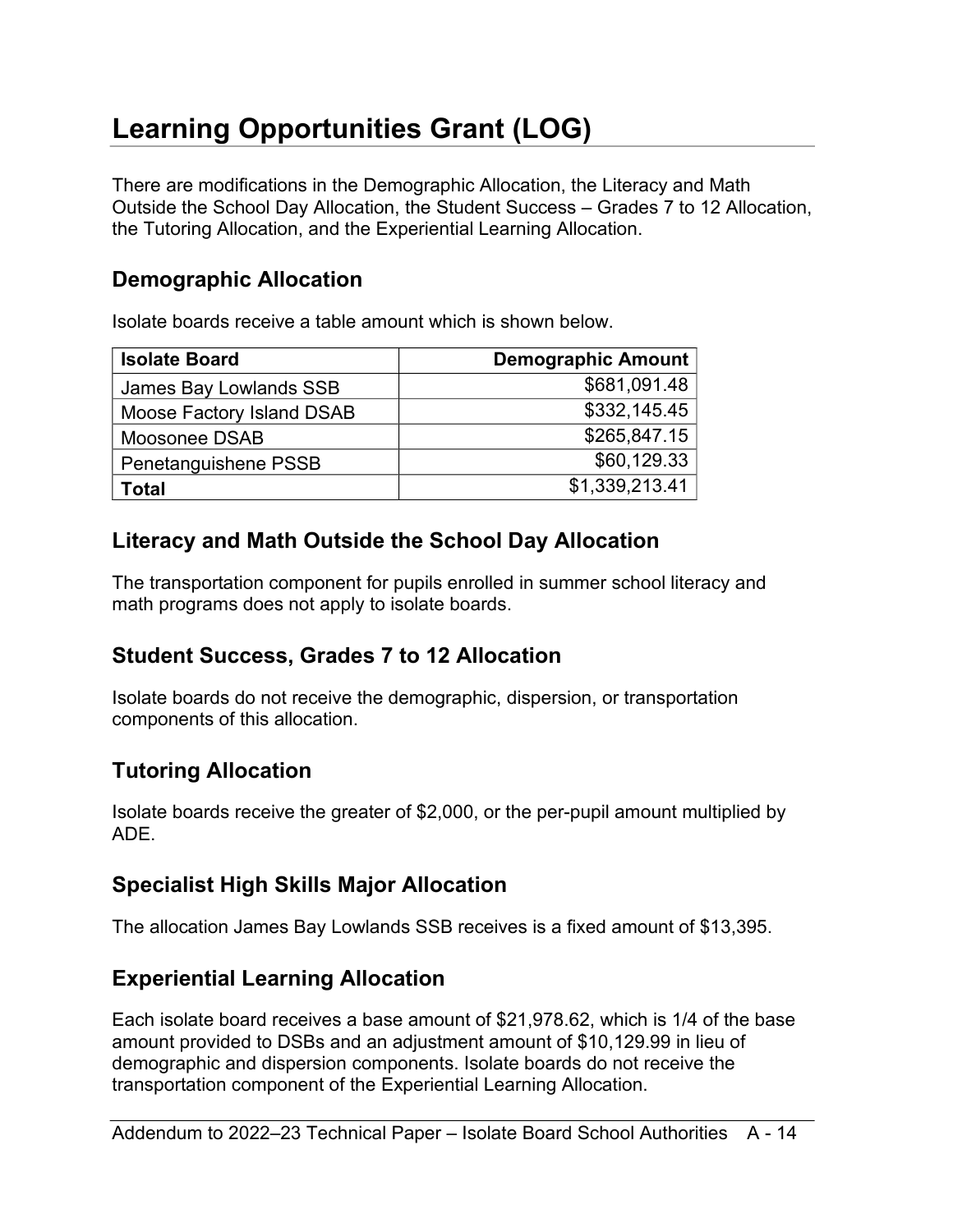# <span id="page-13-0"></span>**Learning Opportunities Grant (LOG)**

There are modifications in the Demographic Allocation, the Literacy and Math Outside the School Day Allocation, the Student Success – Grades 7 to 12 Allocation, the Tutoring Allocation, and the Experiential Learning Allocation.

### <span id="page-13-1"></span>**Demographic Allocation**

Isolate boards receive a table amount which is shown below.

| <b>Isolate Board</b>      | <b>Demographic Amount</b> |
|---------------------------|---------------------------|
| James Bay Lowlands SSB    | \$681,091.48              |
| Moose Factory Island DSAB | \$332,145.45              |
| Moosonee DSAB             | \$265,847.15              |
| Penetanguishene PSSB      | \$60,129.33               |
| Total                     | \$1,339,213.41            |

### <span id="page-13-2"></span>**Literacy and Math Outside the School Day Allocation**

The transportation component for pupils enrolled in summer school literacy and math programs does not apply to isolate boards.

### <span id="page-13-3"></span>**Student Success, Grades 7 to 12 Allocation**

Isolate boards do not receive the demographic, dispersion, or transportation components of this allocation.

### <span id="page-13-4"></span>**Tutoring Allocation**

Isolate boards receive the greater of \$2,000, or the per-pupil amount multiplied by ADE.

### <span id="page-13-5"></span>**Specialist High Skills Major Allocation**

The allocation James Bay Lowlands SSB receives is a fixed amount of \$13,395.

### <span id="page-13-6"></span>**Experiential Learning Allocation**

Each isolate board receives a base amount of \$21,978.62, which is 1/4 of the base amount provided to DSBs and an adjustment amount of \$10,129.99 in lieu of demographic and dispersion components. Isolate boards do not receive the transportation component of the Experiential Learning Allocation.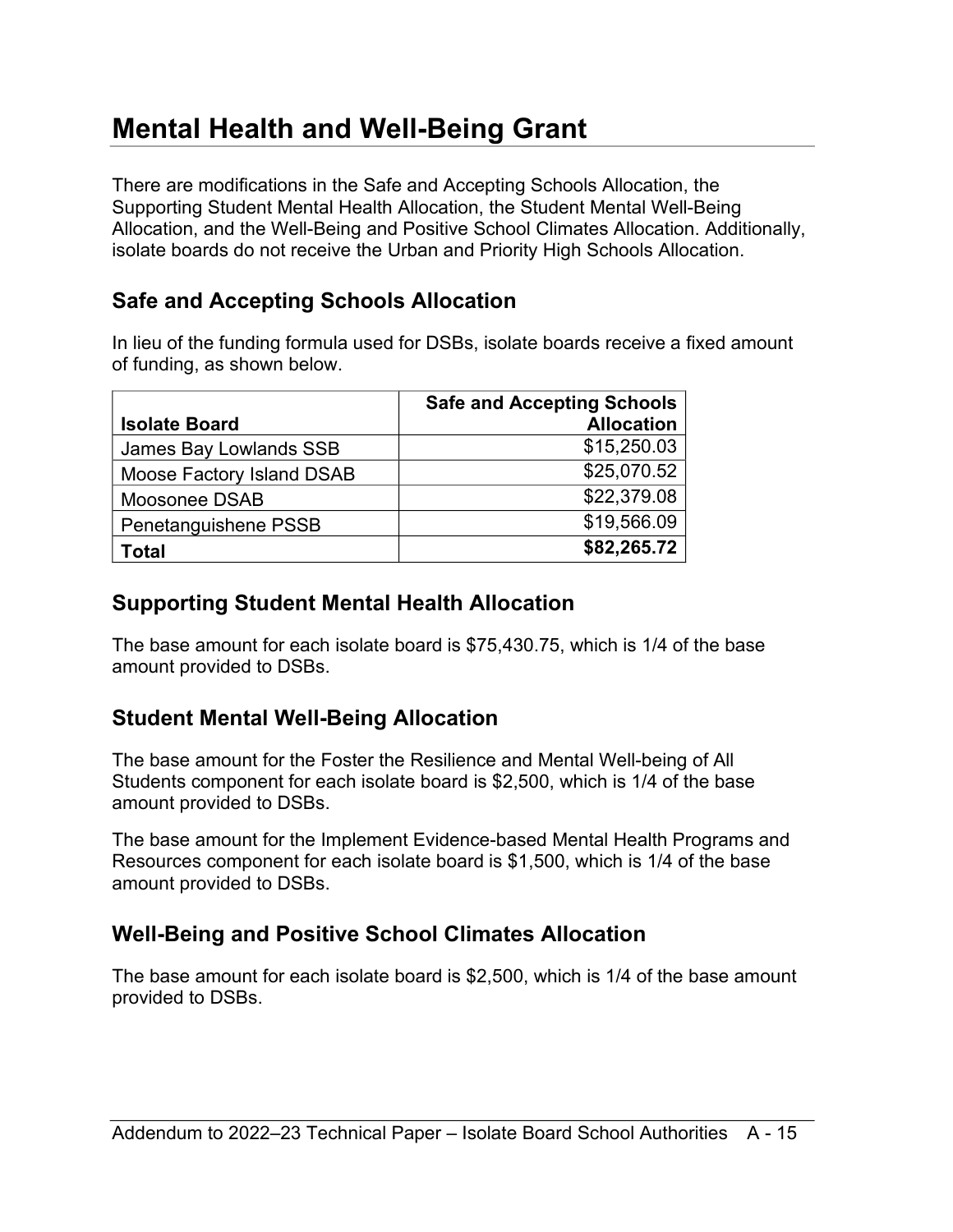### <span id="page-14-0"></span>**Mental Health and Well-Being Grant**

There are modifications in the Safe and Accepting Schools Allocation, the Supporting Student Mental Health Allocation, the Student Mental Well-Being Allocation, and the Well-Being and Positive School Climates Allocation. Additionally, isolate boards do not receive the Urban and Priority High Schools Allocation.

### <span id="page-14-1"></span>**Safe and Accepting Schools Allocation**

In lieu of the funding formula used for DSBs, isolate boards receive a fixed amount of funding, as shown below.

|                           | <b>Safe and Accepting Schools</b> |
|---------------------------|-----------------------------------|
| <b>Isolate Board</b>      | <b>Allocation</b>                 |
| James Bay Lowlands SSB    | \$15,250.03                       |
| Moose Factory Island DSAB | \$25,070.52                       |
| Moosonee DSAB             | \$22,379.08                       |
| Penetanguishene PSSB      | \$19,566.09                       |
| Гоtal                     | \$82,265.72                       |

### <span id="page-14-2"></span>**Supporting Student Mental Health Allocation**

The base amount for each isolate board is \$75,430.75, which is 1/4 of the base amount provided to DSBs.

### <span id="page-14-3"></span>**Student Mental Well-Being Allocation**

The base amount for the Foster the Resilience and Mental Well-being of All Students component for each isolate board is \$2,500, which is 1/4 of the base amount provided to DSBs.

The base amount for the Implement Evidence-based Mental Health Programs and Resources component for each isolate board is \$1,500, which is 1/4 of the base amount provided to DSBs.

### <span id="page-14-4"></span>**Well-Being and Positive School Climates Allocation**

The base amount for each isolate board is \$2,500, which is 1/4 of the base amount provided to DSBs.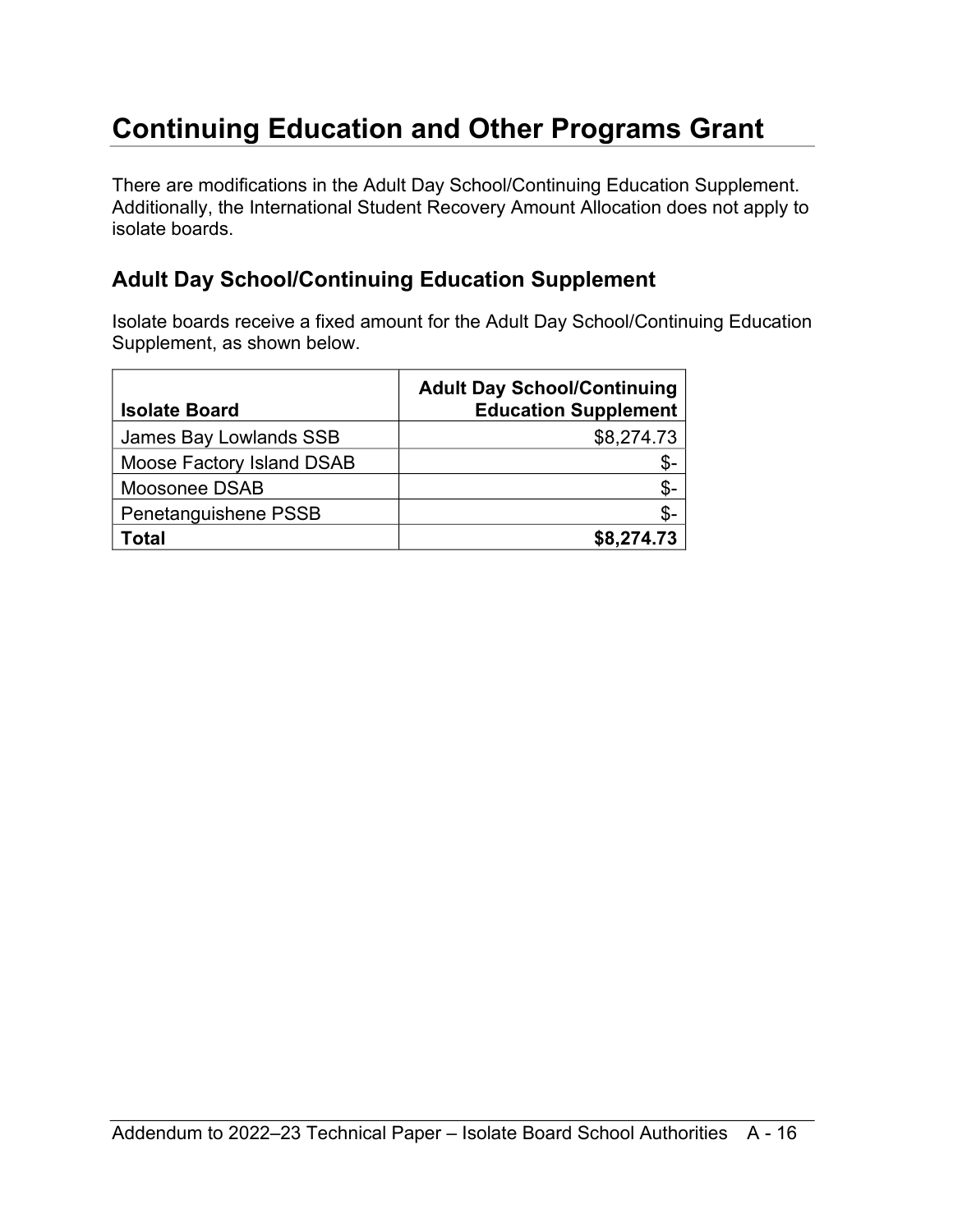# <span id="page-15-0"></span>**Continuing Education and Other Programs Grant**

There are modifications in the Adult Day School/Continuing Education Supplement. Additionally, the International Student Recovery Amount Allocation does not apply to isolate boards.

### <span id="page-15-1"></span>**Adult Day School/Continuing Education Supplement**

Isolate boards receive a fixed amount for the Adult Day School/Continuing Education Supplement, as shown below.

| <b>Isolate Board</b>      | <b>Adult Day School/Continuing</b><br><b>Education Supplement</b> |
|---------------------------|-------------------------------------------------------------------|
| James Bay Lowlands SSB    | \$8,274.73                                                        |
| Moose Factory Island DSAB | \$-                                                               |
| Moosonee DSAB             | \$-                                                               |
| Penetanguishene PSSB      | \$-                                                               |
| Total                     | \$8,274.73                                                        |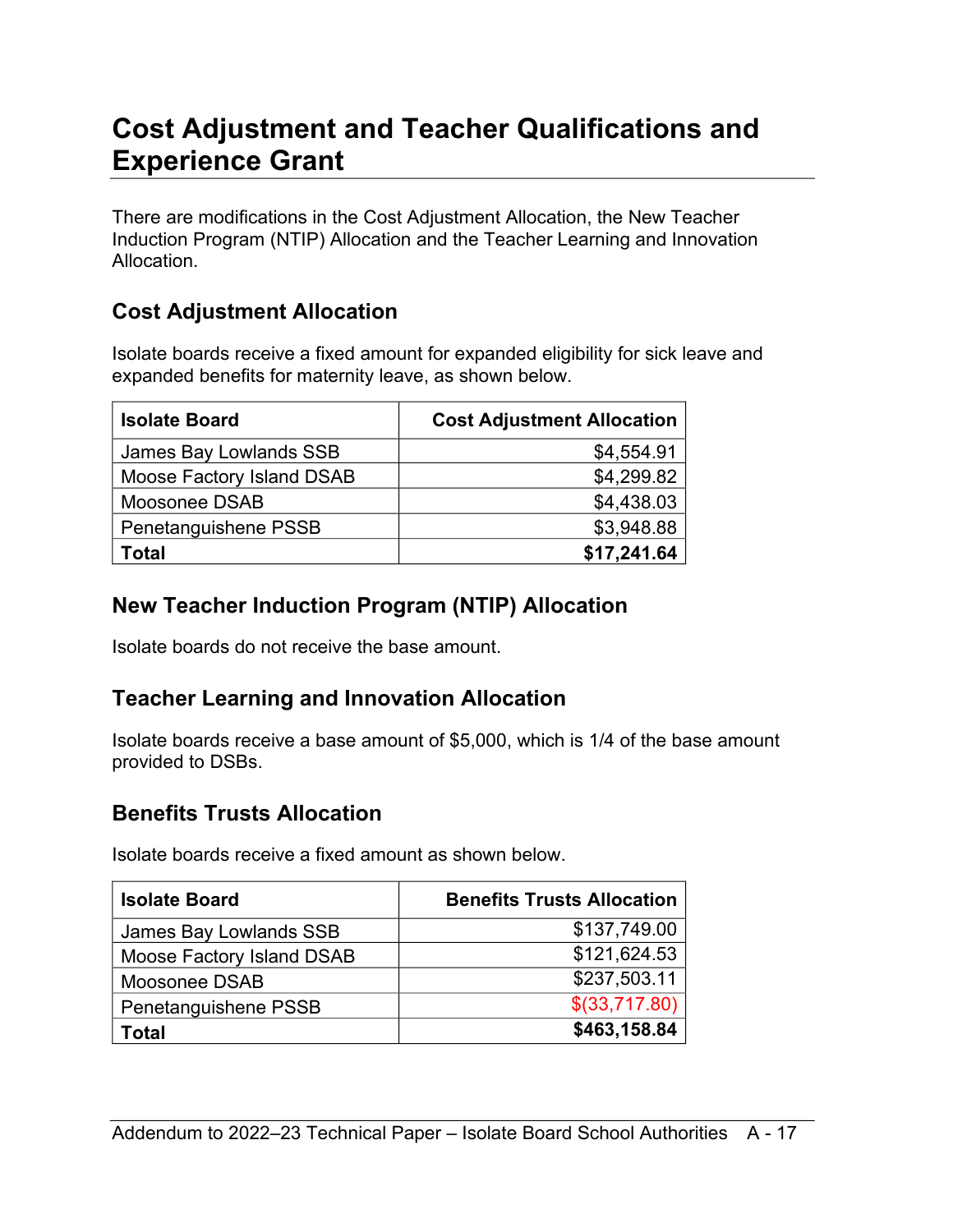### <span id="page-16-0"></span>**Cost Adjustment and Teacher Qualifications and Experience Grant**

There are modifications in the Cost Adjustment Allocation, the New Teacher Induction Program (NTIP) Allocation and the Teacher Learning and Innovation Allocation.

#### <span id="page-16-1"></span>**Cost Adjustment Allocation**

Isolate boards receive a fixed amount for expanded eligibility for sick leave and expanded benefits for maternity leave, as shown below.

| <b>Isolate Board</b>      | <b>Cost Adjustment Allocation</b> |
|---------------------------|-----------------------------------|
| James Bay Lowlands SSB    | \$4,554.91                        |
| Moose Factory Island DSAB | \$4,299.82                        |
| Moosonee DSAB             | \$4,438.03                        |
| Penetanguishene PSSB      | \$3,948.88                        |
| Total                     | \$17,241.64                       |

### <span id="page-16-2"></span>**New Teacher Induction Program (NTIP) Allocation**

Isolate boards do not receive the base amount.

### <span id="page-16-3"></span>**Teacher Learning and Innovation Allocation**

Isolate boards receive a base amount of \$5,000, which is 1/4 of the base amount provided to DSBs.

### <span id="page-16-4"></span>**Benefits Trusts Allocation**

Isolate boards receive a fixed amount as shown below.

| <b>Isolate Board</b>      | <b>Benefits Trusts Allocation</b> |
|---------------------------|-----------------------------------|
| James Bay Lowlands SSB    | \$137,749.00                      |
| Moose Factory Island DSAB | \$121,624.53                      |
| Moosonee DSAB             | \$237,503.11                      |
| Penetanguishene PSSB      | \$(33,717.80)                     |
| Гоtal                     | \$463,158.84                      |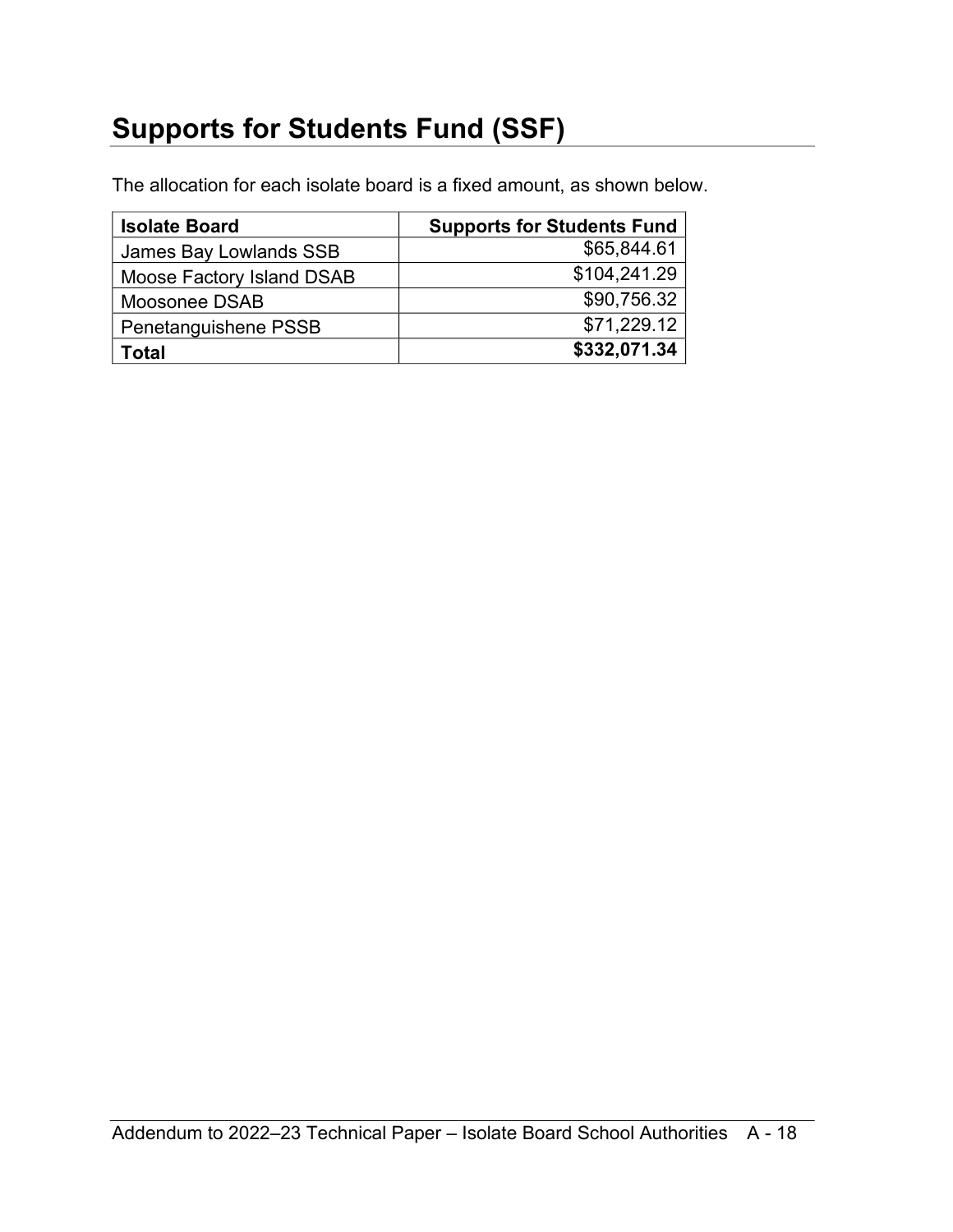# <span id="page-17-0"></span>**Supports for Students Fund (SSF)**

The allocation for each isolate board is a fixed amount, as shown below.

| <b>Isolate Board</b>      | <b>Supports for Students Fund</b> |
|---------------------------|-----------------------------------|
| James Bay Lowlands SSB    | \$65,844.61                       |
| Moose Factory Island DSAB | \$104,241.29                      |
| Moosonee DSAB             | \$90,756.32                       |
| Penetanguishene PSSB      | \$71,229.12                       |
| Гоtal                     | \$332,071.34                      |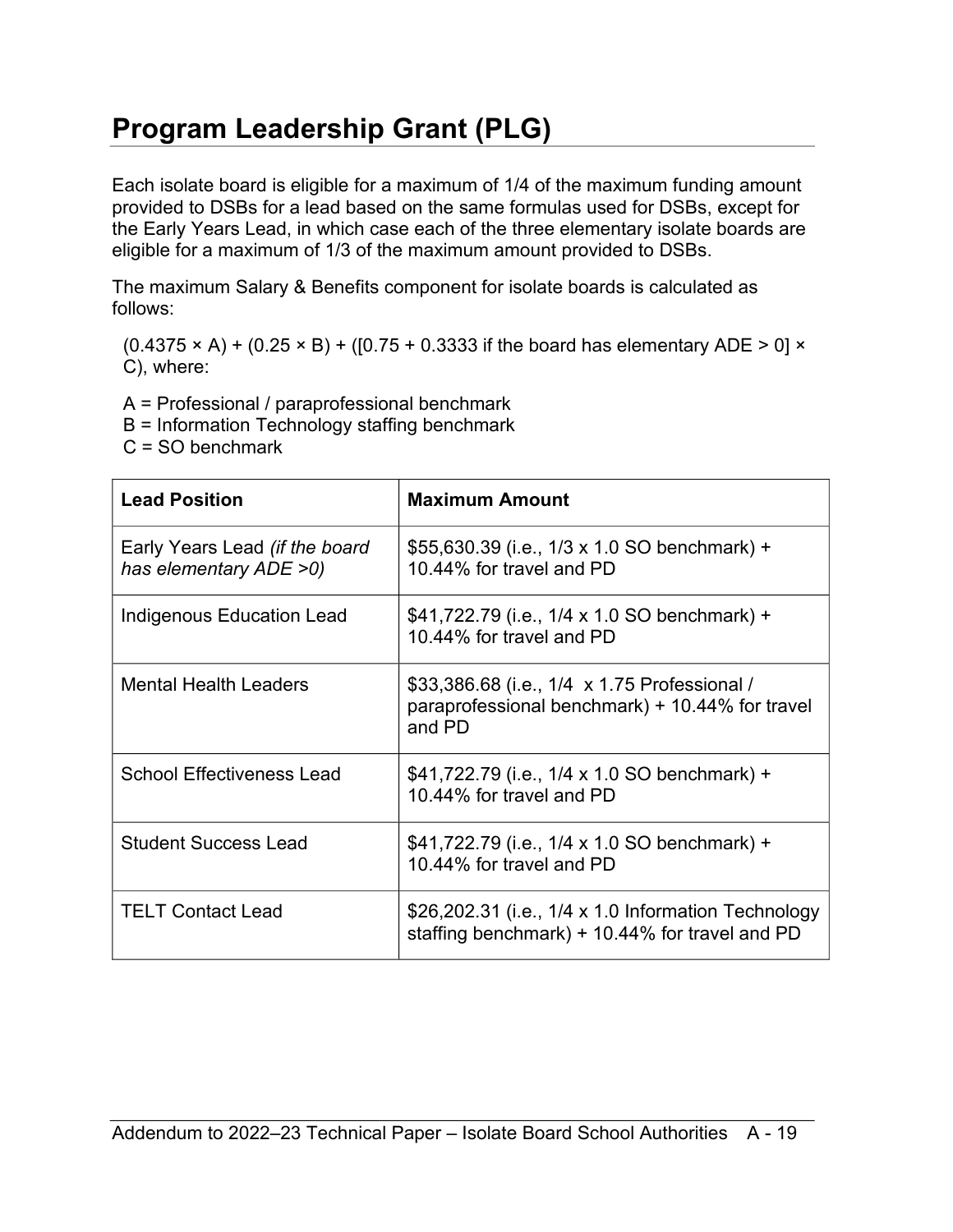# <span id="page-18-0"></span>**Program Leadership Grant (PLG)**

Each isolate board is eligible for a maximum of 1/4 of the maximum funding amount provided to DSBs for a lead based on the same formulas used for DSBs, except for the Early Years Lead, in which case each of the three elementary isolate boards are eligible for a maximum of 1/3 of the maximum amount provided to DSBs.

The maximum Salary & Benefits component for isolate boards is calculated as follows:

 $(0.4375 \times A) + (0.25 \times B) + ([0.75 + 0.3333]$  if the board has elementary ADE > 0]  $\times$ C), where:

A = Professional / paraprofessional benchmark

B = Information Technology staffing benchmark

C = SO benchmark

| <b>Lead Position</b>                                     | <b>Maximum Amount</b>                                                                                     |
|----------------------------------------------------------|-----------------------------------------------------------------------------------------------------------|
| Early Years Lead (if the board<br>has elementary ADE >0) | \$55,630.39 (i.e., 1/3 x 1.0 SO benchmark) +<br>10.44% for travel and PD                                  |
| Indigenous Education Lead                                | \$41,722.79 (i.e., 1/4 x 1.0 SO benchmark) +<br>10.44% for travel and PD                                  |
| <b>Mental Health Leaders</b>                             | \$33,386.68 (i.e., 1/4 x 1.75 Professional /<br>paraprofessional benchmark) + 10.44% for travel<br>and PD |
| <b>School Effectiveness Lead</b>                         | \$41,722.79 (i.e., 1/4 x 1.0 SO benchmark) +<br>10.44% for travel and PD                                  |
| <b>Student Success Lead</b>                              | \$41,722.79 (i.e., 1/4 x 1.0 SO benchmark) +<br>10.44% for travel and PD                                  |
| <b>TELT Contact Lead</b>                                 | \$26,202.31 (i.e., 1/4 x 1.0 Information Technology<br>staffing benchmark) + 10.44% for travel and PD     |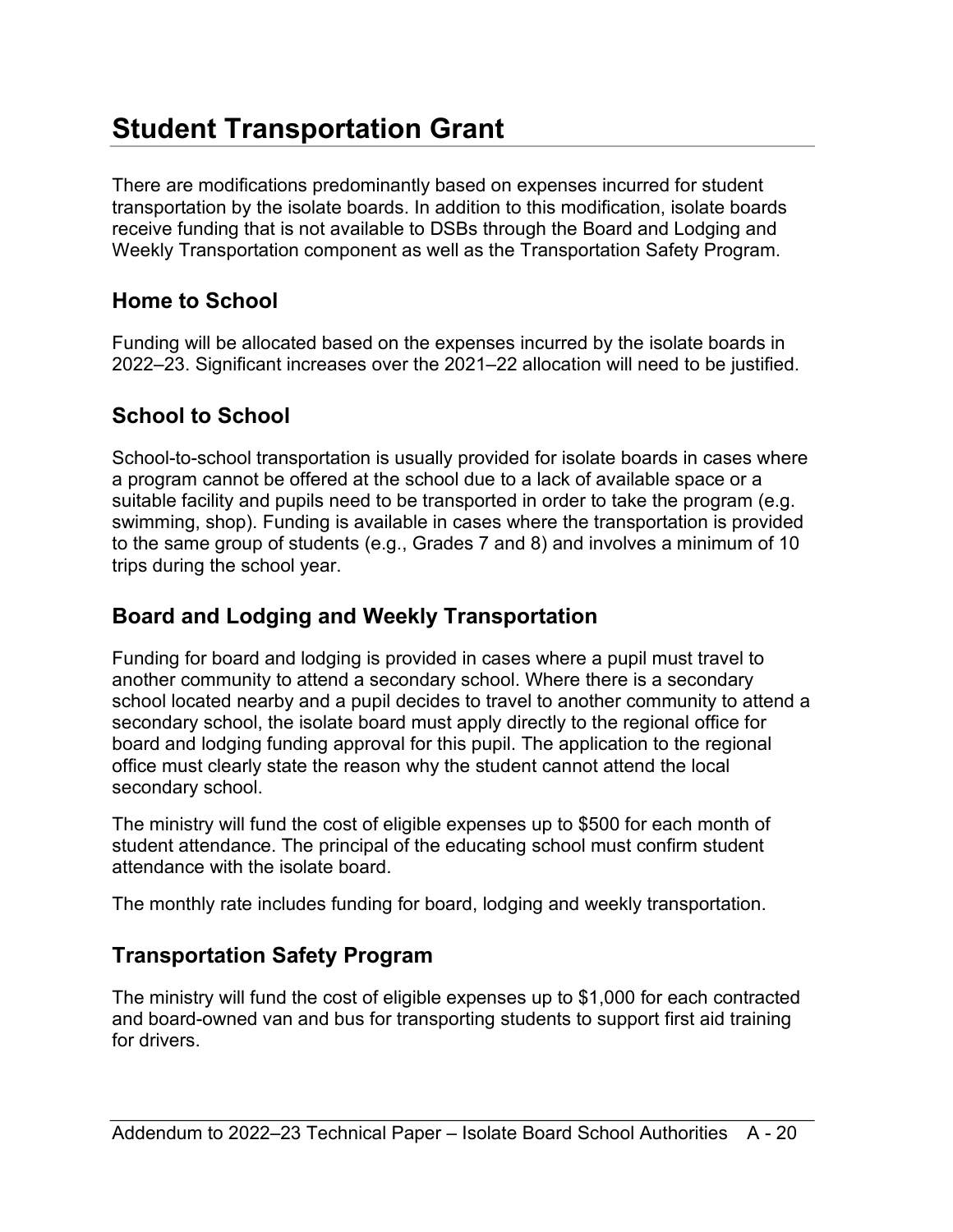# <span id="page-19-0"></span>**Student Transportation Grant**

There are modifications predominantly based on expenses incurred for student transportation by the isolate boards. In addition to this modification, isolate boards receive funding that is not available to DSBs through the Board and Lodging and Weekly Transportation component as well as the Transportation Safety Program.

### <span id="page-19-1"></span>**Home to School**

Funding will be allocated based on the expenses incurred by the isolate boards in 2022–23. Significant increases over the 2021–22 allocation will need to be justified.

### <span id="page-19-2"></span>**School to School**

School-to-school transportation is usually provided for isolate boards in cases where a program cannot be offered at the school due to a lack of available space or a suitable facility and pupils need to be transported in order to take the program (e.g. swimming, shop). Funding is available in cases where the transportation is provided to the same group of students (e.g., Grades 7 and 8) and involves a minimum of 10 trips during the school year.

### <span id="page-19-3"></span>**Board and Lodging and Weekly Transportation**

Funding for board and lodging is provided in cases where a pupil must travel to another community to attend a secondary school. Where there is a secondary school located nearby and a pupil decides to travel to another community to attend a secondary school, the isolate board must apply directly to the regional office for board and lodging funding approval for this pupil. The application to the regional office must clearly state the reason why the student cannot attend the local secondary school.

The ministry will fund the cost of eligible expenses up to \$500 for each month of student attendance. The principal of the educating school must confirm student attendance with the isolate board.

The monthly rate includes funding for board, lodging and weekly transportation.

### <span id="page-19-4"></span>**Transportation Safety Program**

The ministry will fund the cost of eligible expenses up to \$1,000 for each contracted and board-owned van and bus for transporting students to support first aid training for drivers.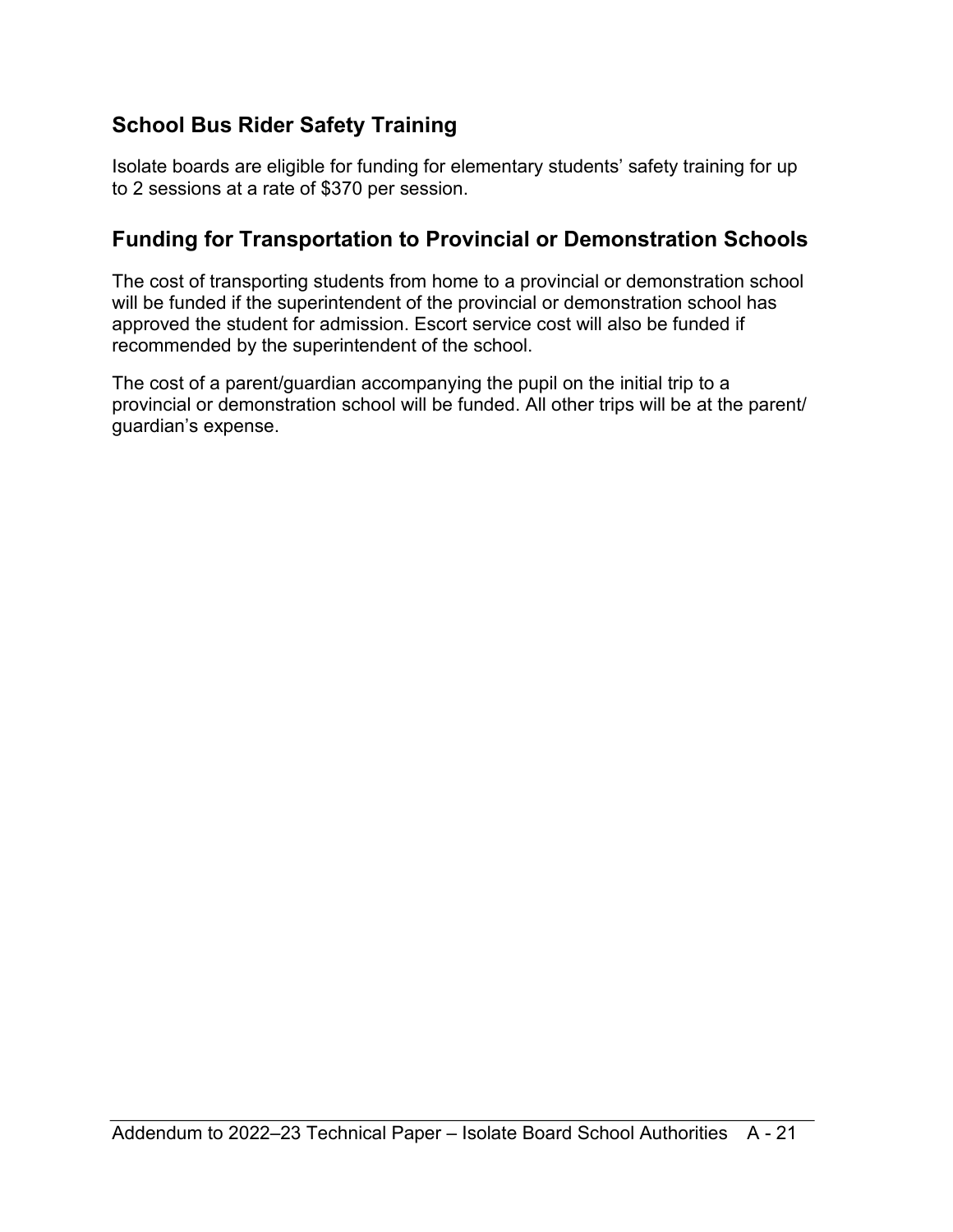### <span id="page-20-0"></span>**School Bus Rider Safety Training**

Isolate boards are eligible for funding for elementary students' safety training for up to 2 sessions at a rate of \$370 per session.

### <span id="page-20-1"></span>**Funding for Transportation to Provincial or Demonstration Schools**

The cost of transporting students from home to a provincial or demonstration school will be funded if the superintendent of the provincial or demonstration school has approved the student for admission. Escort service cost will also be funded if recommended by the superintendent of the school.

The cost of a parent/guardian accompanying the pupil on the initial trip to a provincial or demonstration school will be funded. All other trips will be at the parent/ guardian's expense.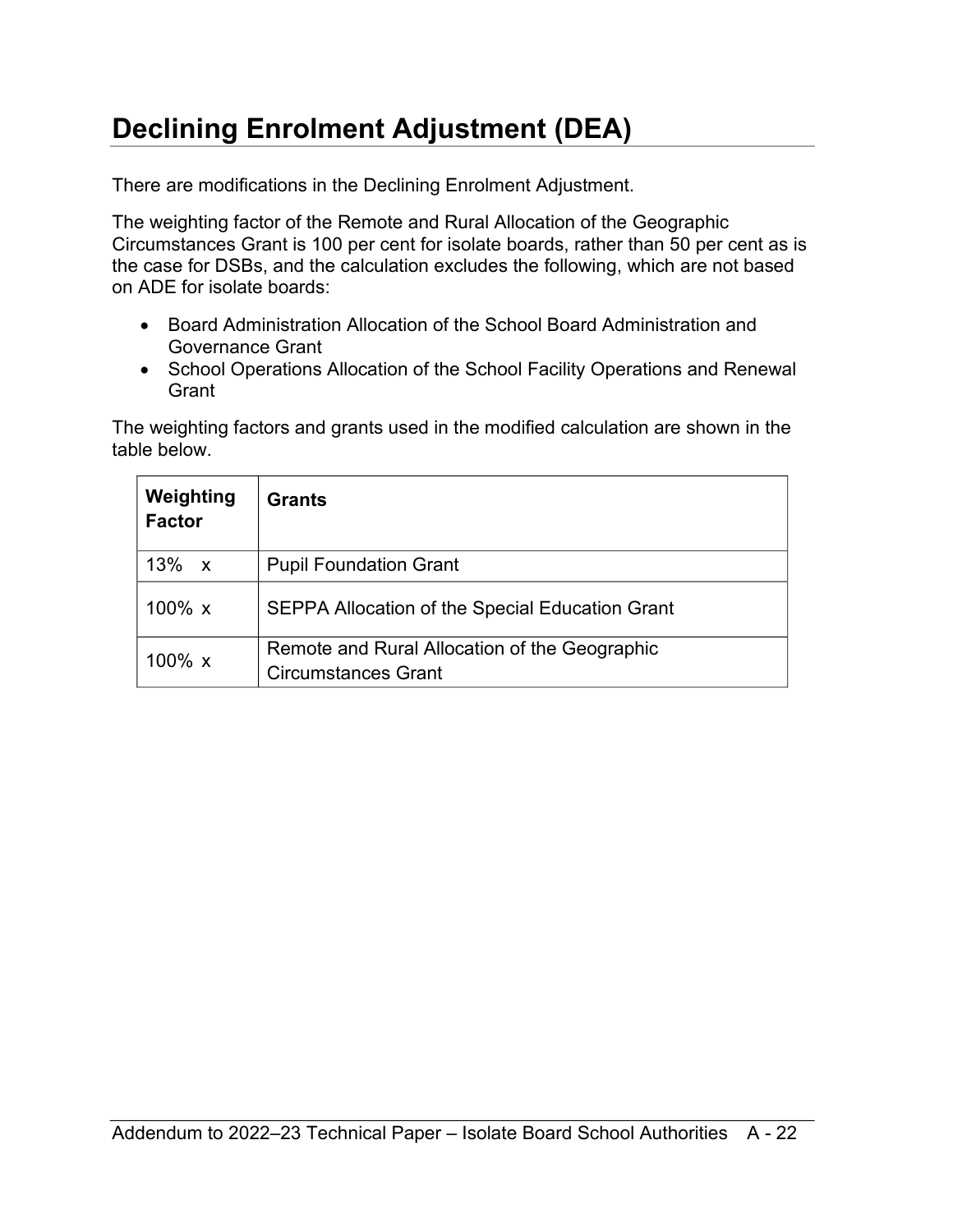# <span id="page-21-0"></span>**Declining Enrolment Adjustment (DEA)**

There are modifications in the Declining Enrolment Adjustment.

The weighting factor of the Remote and Rural Allocation of the Geographic Circumstances Grant is 100 per cent for isolate boards, rather than 50 per cent as is the case for DSBs, and the calculation excludes the following, which are not based on ADE for isolate boards:

- Board Administration Allocation of the School Board Administration and Governance Grant
- School Operations Allocation of the School Facility Operations and Renewal **Grant**

The weighting factors and grants used in the modified calculation are shown in the table below.

| Weighting<br><b>Factor</b> | <b>Grants</b>                                                               |
|----------------------------|-----------------------------------------------------------------------------|
| 13%<br>$\mathbf{x}$        | <b>Pupil Foundation Grant</b>                                               |
| 100% $x$                   | SEPPA Allocation of the Special Education Grant                             |
| 100 $% x$                  | Remote and Rural Allocation of the Geographic<br><b>Circumstances Grant</b> |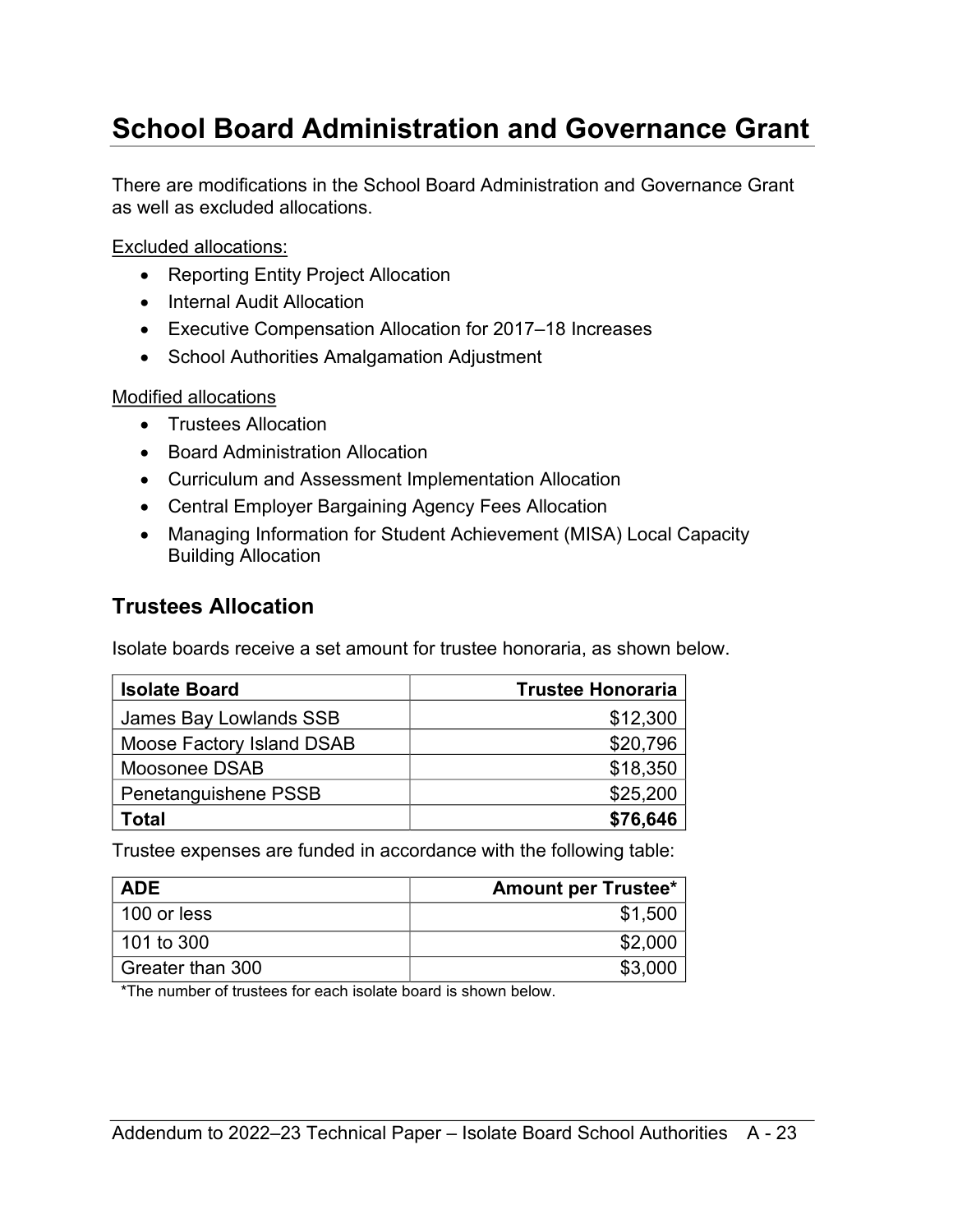### <span id="page-22-0"></span>**School Board Administration and Governance Grant**

There are modifications in the School Board Administration and Governance Grant as well as excluded allocations.

Excluded allocations:

- Reporting Entity Project Allocation
- Internal Audit Allocation
- Executive Compensation Allocation for 2017–18 Increases
- School Authorities Amalgamation Adjustment

#### Modified allocations

- Trustees Allocation
- Board Administration Allocation
- Curriculum and Assessment Implementation Allocation
- Central Employer Bargaining Agency Fees Allocation
- Managing Information for Student Achievement (MISA) Local Capacity Building Allocation

#### <span id="page-22-1"></span>**Trustees Allocation**

Isolate boards receive a set amount for trustee honoraria, as shown below.

| <b>Isolate Board</b>      | <b>Trustee Honoraria</b> |
|---------------------------|--------------------------|
| James Bay Lowlands SSB    | \$12,300                 |
| Moose Factory Island DSAB | \$20,796                 |
| Moosonee DSAB             | \$18,350                 |
| Penetanguishene PSSB      | \$25,200                 |
| <b>Total</b>              | \$76,646                 |

Trustee expenses are funded in accordance with the following table:

| <b>ADE</b>       | <b>Amount per Trustee*</b> |
|------------------|----------------------------|
| 100 or less      | \$1,500                    |
| 101 to 300       | \$2,000                    |
| Greater than 300 | \$3,000                    |

\*The number of trustees for each isolate board is shown below.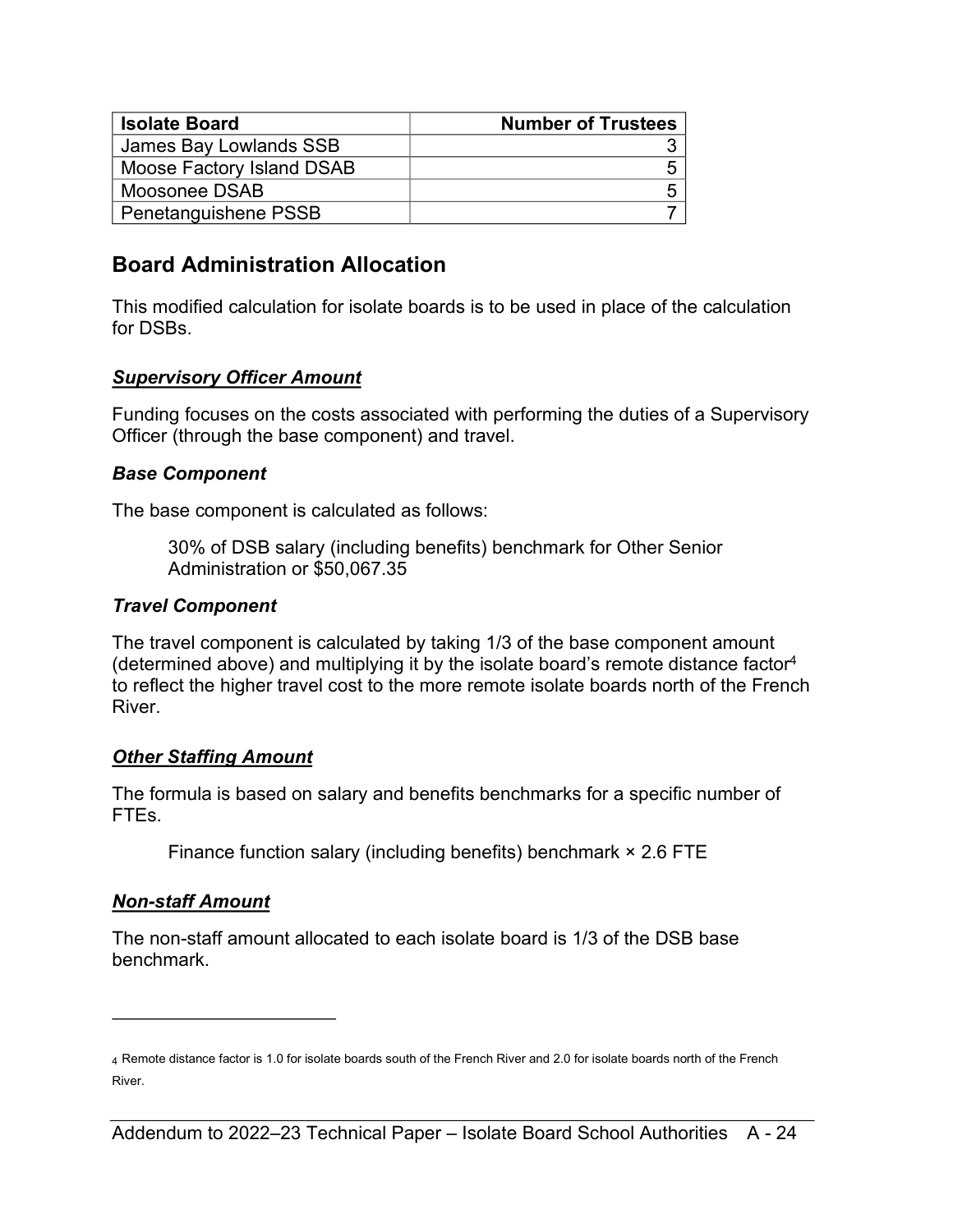| <b>Isolate Board</b>      | <b>Number of Trustees</b> |
|---------------------------|---------------------------|
| James Bay Lowlands SSB    |                           |
| Moose Factory Island DSAB |                           |
| Moosonee DSAB             |                           |
| Penetanguishene PSSB      |                           |

#### <span id="page-23-0"></span>**Board Administration Allocation**

This modified calculation for isolate boards is to be used in place of the calculation for DSBs.

#### *Supervisory Officer Amount*

Funding focuses on the costs associated with performing the duties of a Supervisory Officer (through the base component) and travel.

#### *Base Component*

The base component is calculated as follows:

<span id="page-23-2"></span>30% of DSB salary (including benefits) benchmark for Other Senior Administration or \$50,067.35

#### *Travel Component*

The travel component is calculated by taking 1/3 of the base component amount (determined above) and multiplying it by the isolate board's remote distance factor[4](#page-23-1) to reflect the higher travel cost to the more remote isolate boards north of the French River.

#### *Other Staffing Amount*

The formula is based on salary and benefits benchmarks for a specific number of FTEs.

Finance function salary (including benefits) benchmark × 2.6 FTE

#### *Non-staff Amount*

The non-staff amount allocated to each isolate board is 1/3 of the DSB base benchmark.

<span id="page-23-1"></span>[<sup>4</sup>](#page-23-2) Remote distance factor is 1.0 for isolate boards south of the French River and 2.0 for isolate boards north of the French River.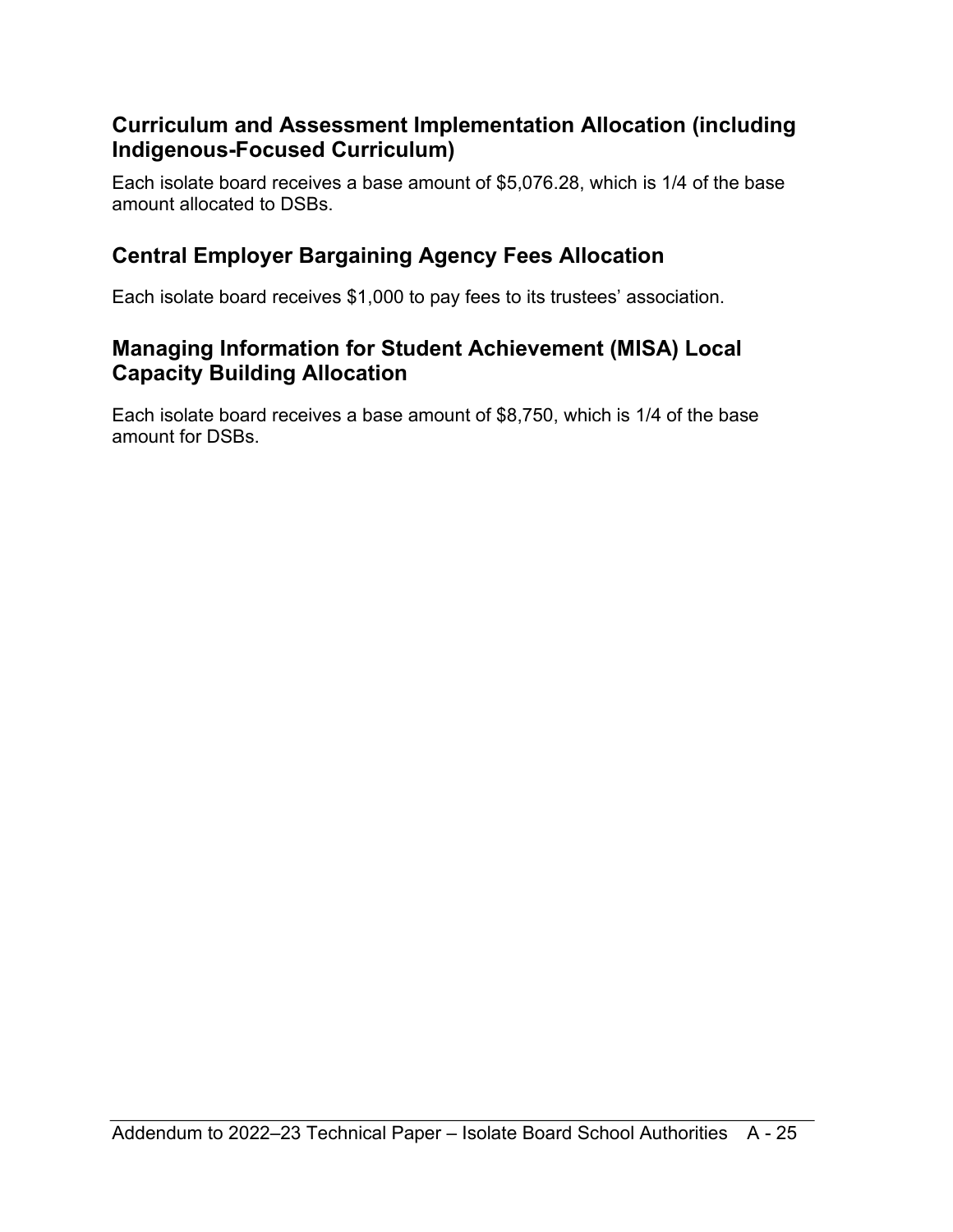#### <span id="page-24-0"></span>**Curriculum and Assessment Implementation Allocation (including Indigenous-Focused Curriculum)**

Each isolate board receives a base amount of \$5,076.28, which is 1/4 of the base amount allocated to DSBs.

### <span id="page-24-1"></span>**Central Employer Bargaining Agency Fees Allocation**

Each isolate board receives \$1,000 to pay fees to its trustees' association.

#### <span id="page-24-2"></span>**Managing Information for Student Achievement (MISA) Local Capacity Building Allocation**

Each isolate board receives a base amount of \$8,750, which is 1/4 of the base amount for DSBs.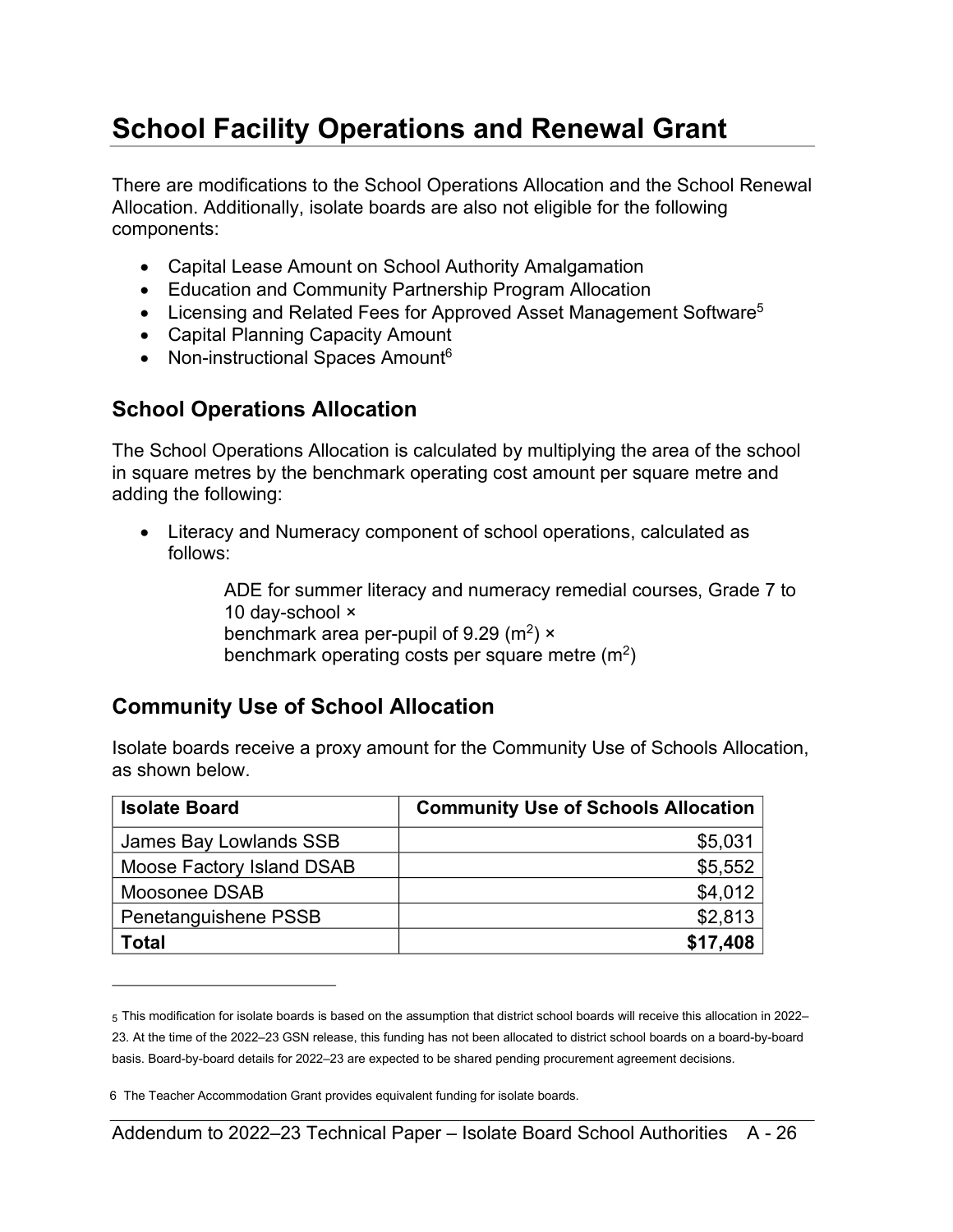# <span id="page-25-0"></span>**School Facility Operations and Renewal Grant**

There are modifications to the School Operations Allocation and the School Renewal Allocation. Additionally, isolate boards are also not eligible for the following components:

- Capital Lease Amount on School Authority Amalgamation
- Education and Community Partnership Program Allocation
- Licensing and Related Fees for Approved Asset Management Software<sup>[5](#page-25-3)</sup>
- <span id="page-25-6"></span>• Capital Planning Capacity Amount
- Non-instructional Spaces Amount<sup>[6](#page-25-4)</sup>

### <span id="page-25-1"></span>**School Operations Allocation**

The School Operations Allocation is calculated by multiplying the area of the school in square metres by the benchmark operating cost amount per square metre and adding the following:

• Literacy and Numeracy component of school operations, calculated as follows:

> <span id="page-25-5"></span>ADE for summer literacy and numeracy remedial courses, Grade 7 to 10 day-school × benchmark area per-pupil of 9.29 (m²) × benchmark operating costs per square metre (m $^2)$

### <span id="page-25-2"></span>**Community Use of School Allocation**

Isolate boards receive a proxy amount for the Community Use of Schools Allocation, as shown below.

| <b>Isolate Board</b>      | <b>Community Use of Schools Allocation</b> |
|---------------------------|--------------------------------------------|
| James Bay Lowlands SSB    | \$5,031                                    |
| Moose Factory Island DSAB | \$5,552                                    |
| Moosonee DSAB             | \$4,012                                    |
| Penetanguishene PSSB      | \$2,813                                    |
| <b>Total</b>              | \$17,408                                   |

<span id="page-25-3"></span>[<sup>5</sup>](#page-25-5) This modification for isolate boards is based on the assumption that district school boards will receive this allocation in 2022– 23. At the time of the 2022–23 GSN release, this funding has not been allocated to district school boards on a board-by-board basis. Board-by-board details for 2022–23 are expected to be shared pending procurement agreement decisions.

<span id="page-25-4"></span>[<sup>6</sup>](#page-25-6) The Teacher Accommodation Grant provides equivalent funding for isolate boards.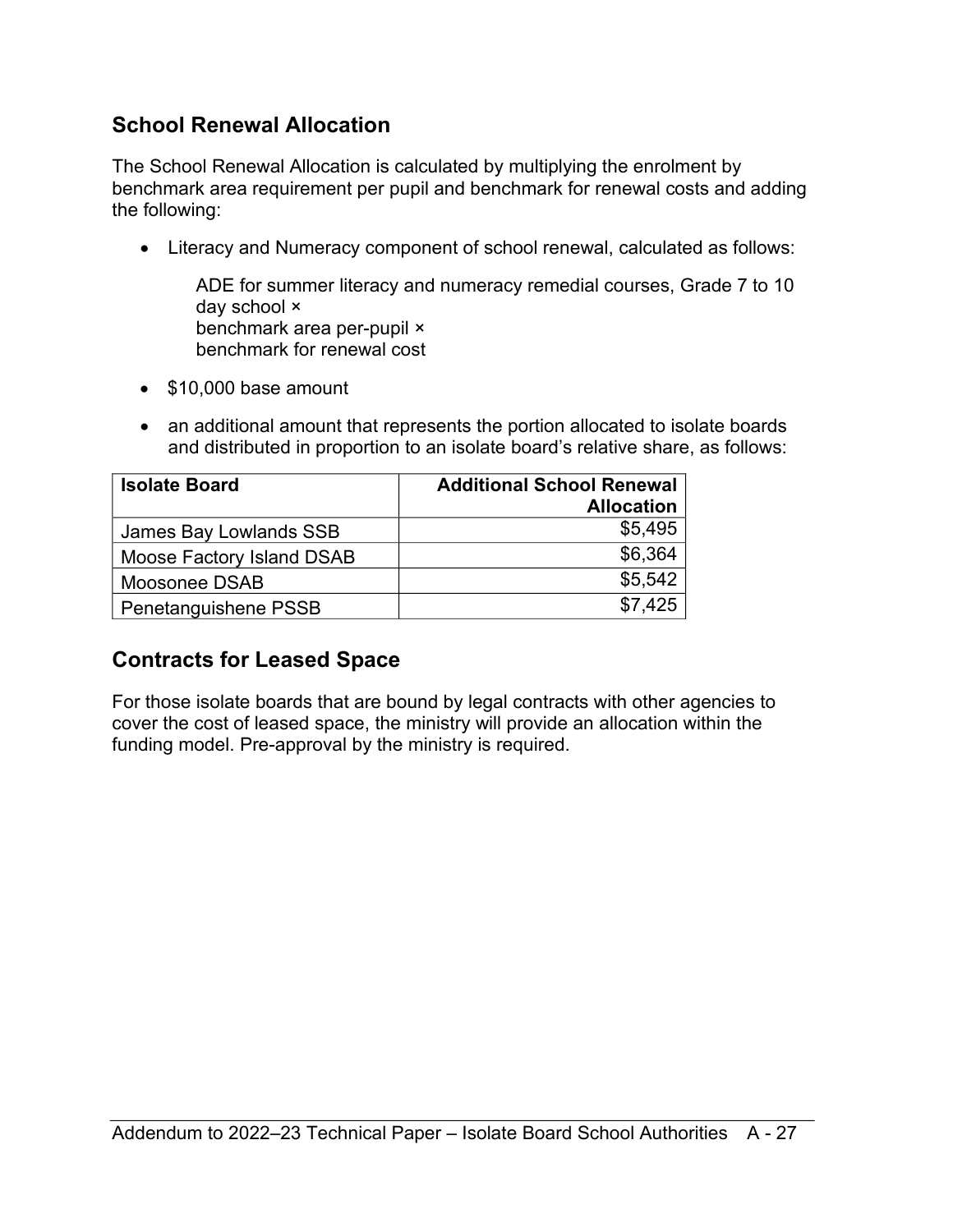### <span id="page-26-0"></span>**School Renewal Allocation**

The School Renewal Allocation is calculated by multiplying the enrolment by benchmark area requirement per pupil and benchmark for renewal costs and adding the following:

• Literacy and Numeracy component of school renewal, calculated as follows:

ADE for summer literacy and numeracy remedial courses, Grade 7 to 10 day school × benchmark area per-pupil × benchmark for renewal cost

- \$10,000 base amount
- an additional amount that represents the portion allocated to isolate boards and distributed in proportion to an isolate board's relative share, as follows:

| <b>Isolate Board</b>      | <b>Additional School Renewal</b> |
|---------------------------|----------------------------------|
|                           | <b>Allocation</b>                |
| James Bay Lowlands SSB    | \$5,495                          |
| Moose Factory Island DSAB | \$6,364                          |
| Moosonee DSAB             | \$5,542                          |
| Penetanguishene PSSB      | \$7.425                          |

### <span id="page-26-1"></span>**Contracts for Leased Space**

For those isolate boards that are bound by legal contracts with other agencies to cover the cost of leased space, the ministry will provide an allocation within the funding model. Pre-approval by the ministry is required.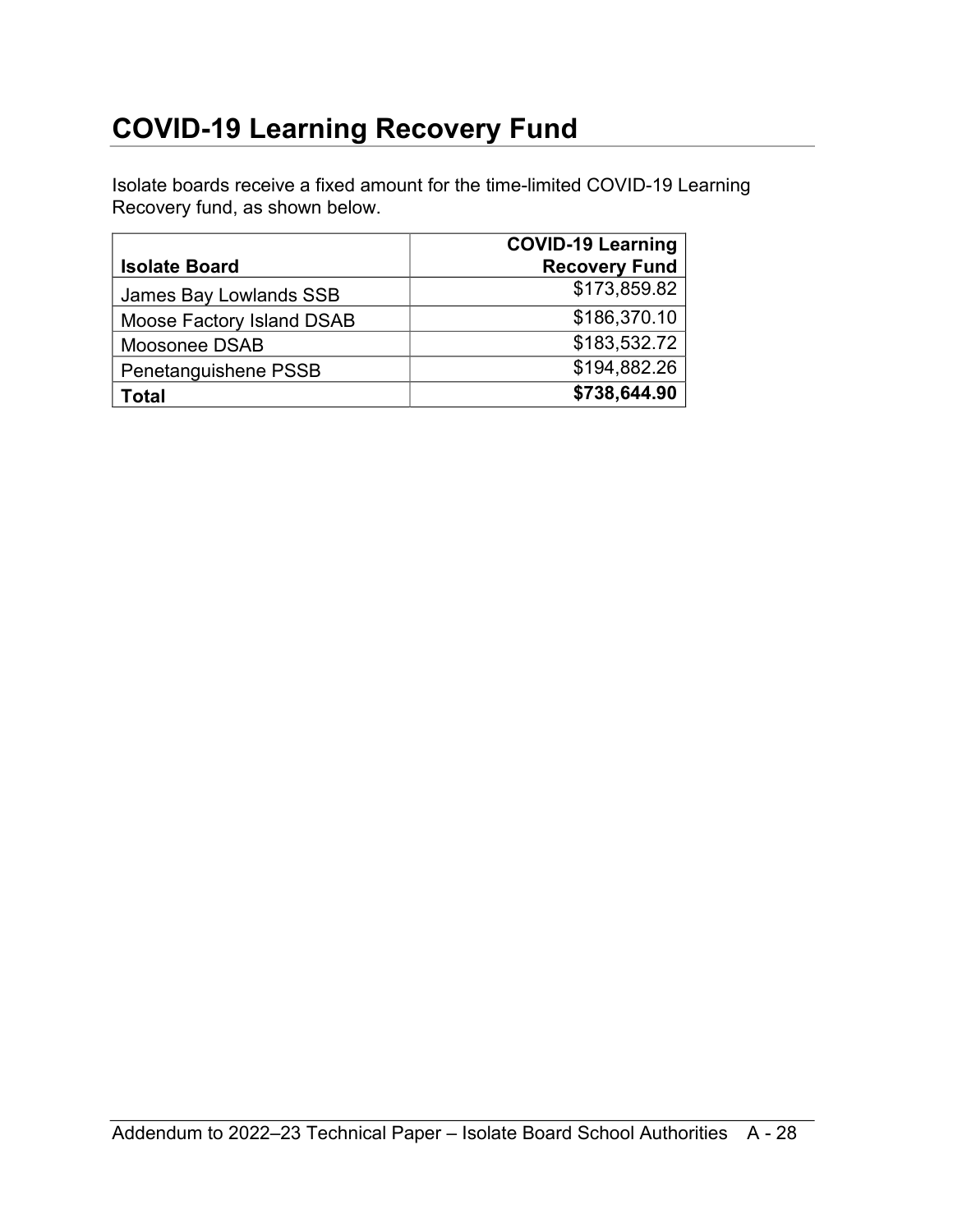### <span id="page-27-0"></span>**COVID-19 Learning Recovery Fund**

Isolate boards receive a fixed amount for the time-limited COVID-19 Learning Recovery fund, as shown below.

|                           | <b>COVID-19 Learning</b> |
|---------------------------|--------------------------|
| <b>Isolate Board</b>      | <b>Recovery Fund</b>     |
| James Bay Lowlands SSB    | \$173,859.82             |
| Moose Factory Island DSAB | \$186,370.10             |
| Moosonee DSAB             | \$183,532.72             |
| Penetanguishene PSSB      | \$194,882.26             |
| Total                     | \$738,644.90             |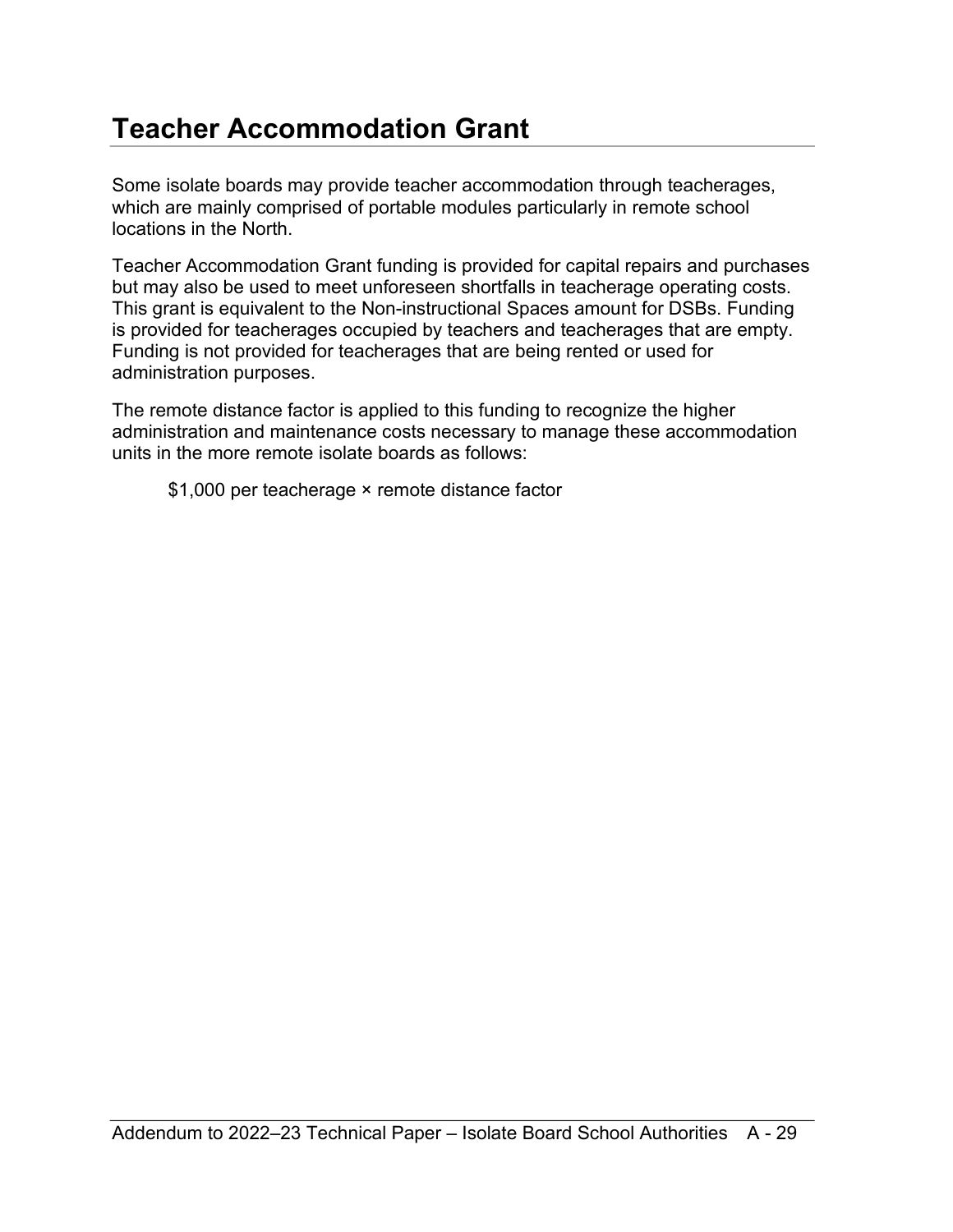# <span id="page-28-0"></span>**Teacher Accommodation Grant**

Some isolate boards may provide teacher accommodation through teacherages, which are mainly comprised of portable modules particularly in remote school locations in the North.

Teacher Accommodation Grant funding is provided for capital repairs and purchases but may also be used to meet unforeseen shortfalls in teacherage operating costs. This grant is equivalent to the Non-instructional Spaces amount for DSBs. Funding is provided for teacherages occupied by teachers and teacherages that are empty. Funding is not provided for teacherages that are being rented or used for administration purposes.

The remote distance factor is applied to this funding to recognize the higher administration and maintenance costs necessary to manage these accommodation units in the more remote isolate boards as follows:

\$1,000 per teacherage × remote distance factor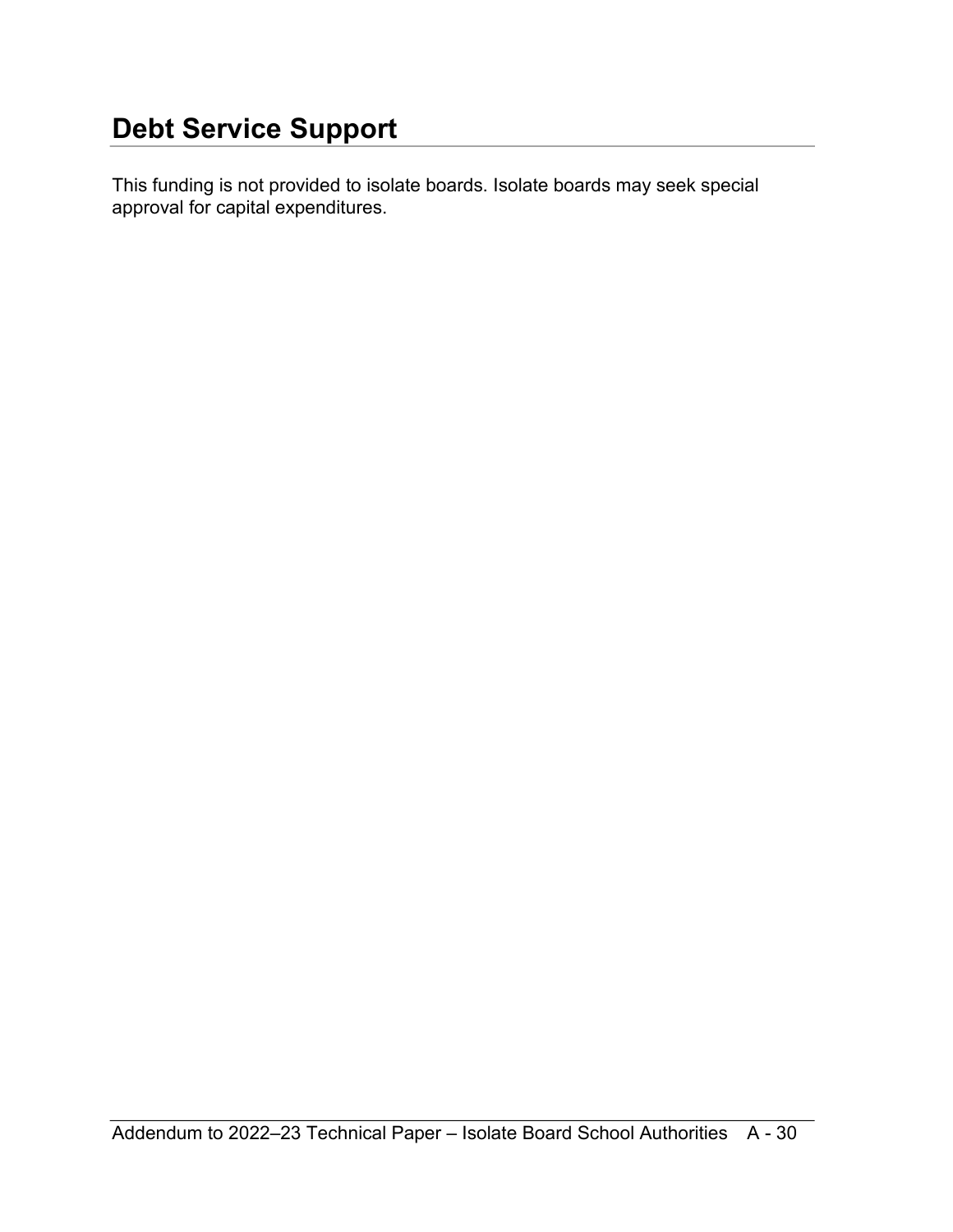<span id="page-29-0"></span>This funding is not provided to isolate boards. Isolate boards may seek special approval for capital expenditures.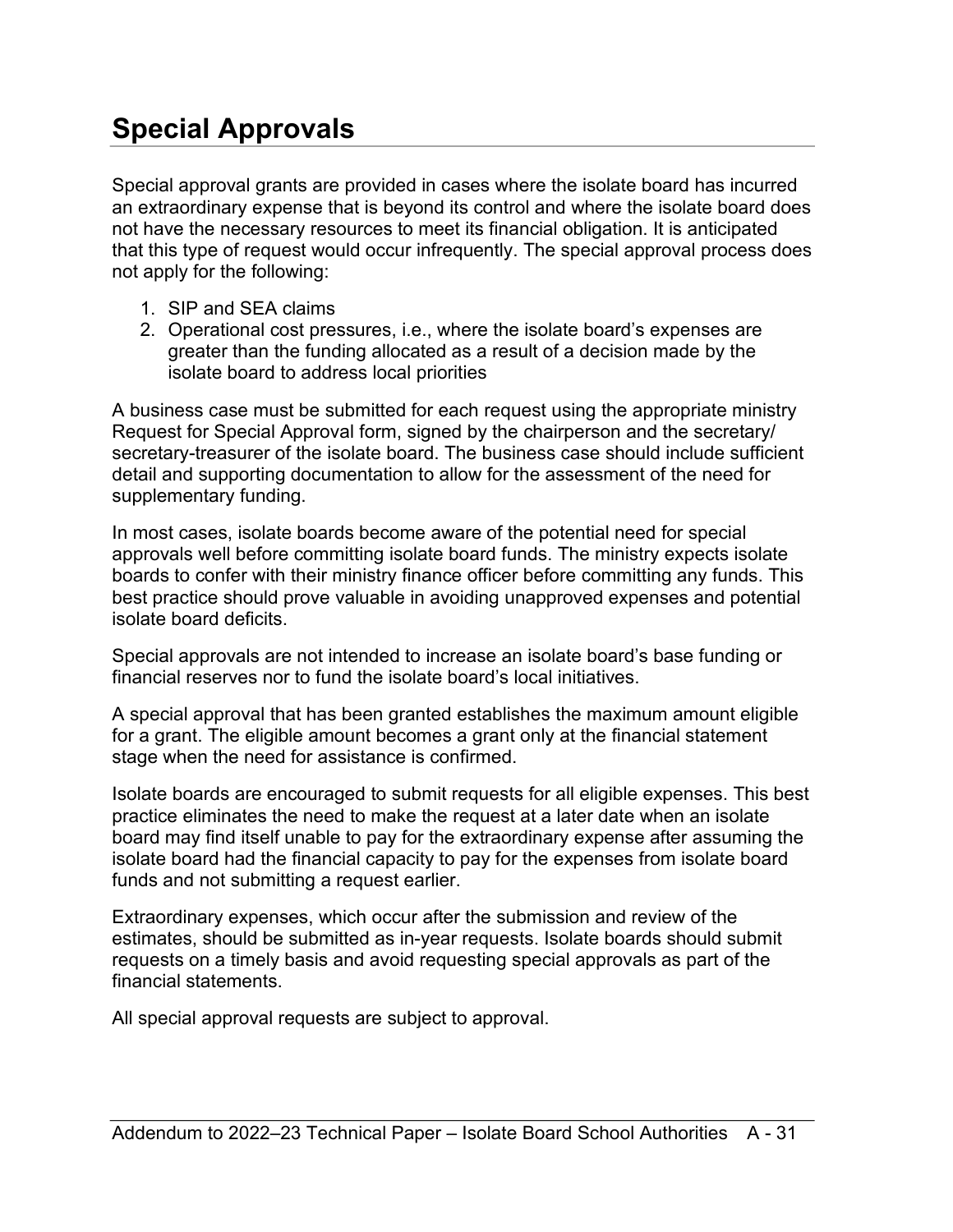# <span id="page-30-0"></span>**Special Approvals**

Special approval grants are provided in cases where the isolate board has incurred an extraordinary expense that is beyond its control and where the isolate board does not have the necessary resources to meet its financial obligation. It is anticipated that this type of request would occur infrequently. The special approval process does not apply for the following:

- 1. SIP and SEA claims
- 2. Operational cost pressures, i.e., where the isolate board's expenses are greater than the funding allocated as a result of a decision made by the isolate board to address local priorities

A business case must be submitted for each request using the appropriate ministry Request for Special Approval form, signed by the chairperson and the secretary/ secretary-treasurer of the isolate board. The business case should include sufficient detail and supporting documentation to allow for the assessment of the need for supplementary funding.

In most cases, isolate boards become aware of the potential need for special approvals well before committing isolate board funds. The ministry expects isolate boards to confer with their ministry finance officer before committing any funds. This best practice should prove valuable in avoiding unapproved expenses and potential isolate board deficits.

Special approvals are not intended to increase an isolate board's base funding or financial reserves nor to fund the isolate board's local initiatives.

A special approval that has been granted establishes the maximum amount eligible for a grant. The eligible amount becomes a grant only at the financial statement stage when the need for assistance is confirmed.

Isolate boards are encouraged to submit requests for all eligible expenses. This best practice eliminates the need to make the request at a later date when an isolate board may find itself unable to pay for the extraordinary expense after assuming the isolate board had the financial capacity to pay for the expenses from isolate board funds and not submitting a request earlier.

Extraordinary expenses, which occur after the submission and review of the estimates, should be submitted as in-year requests. Isolate boards should submit requests on a timely basis and avoid requesting special approvals as part of the financial statements.

All special approval requests are subject to approval.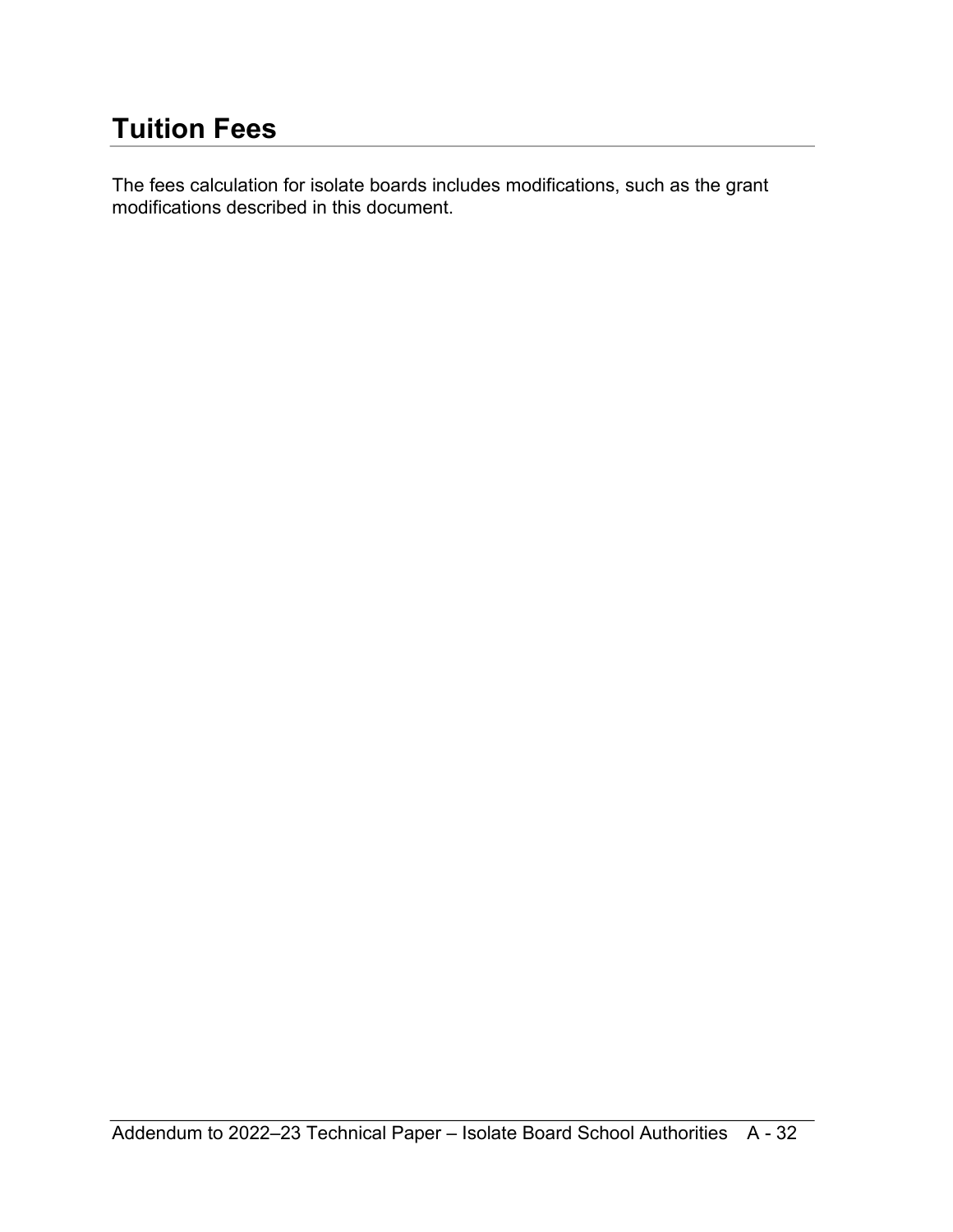# <span id="page-31-0"></span>**Tuition Fees**

The fees calculation for isolate boards includes modifications, such as the grant modifications described in this document.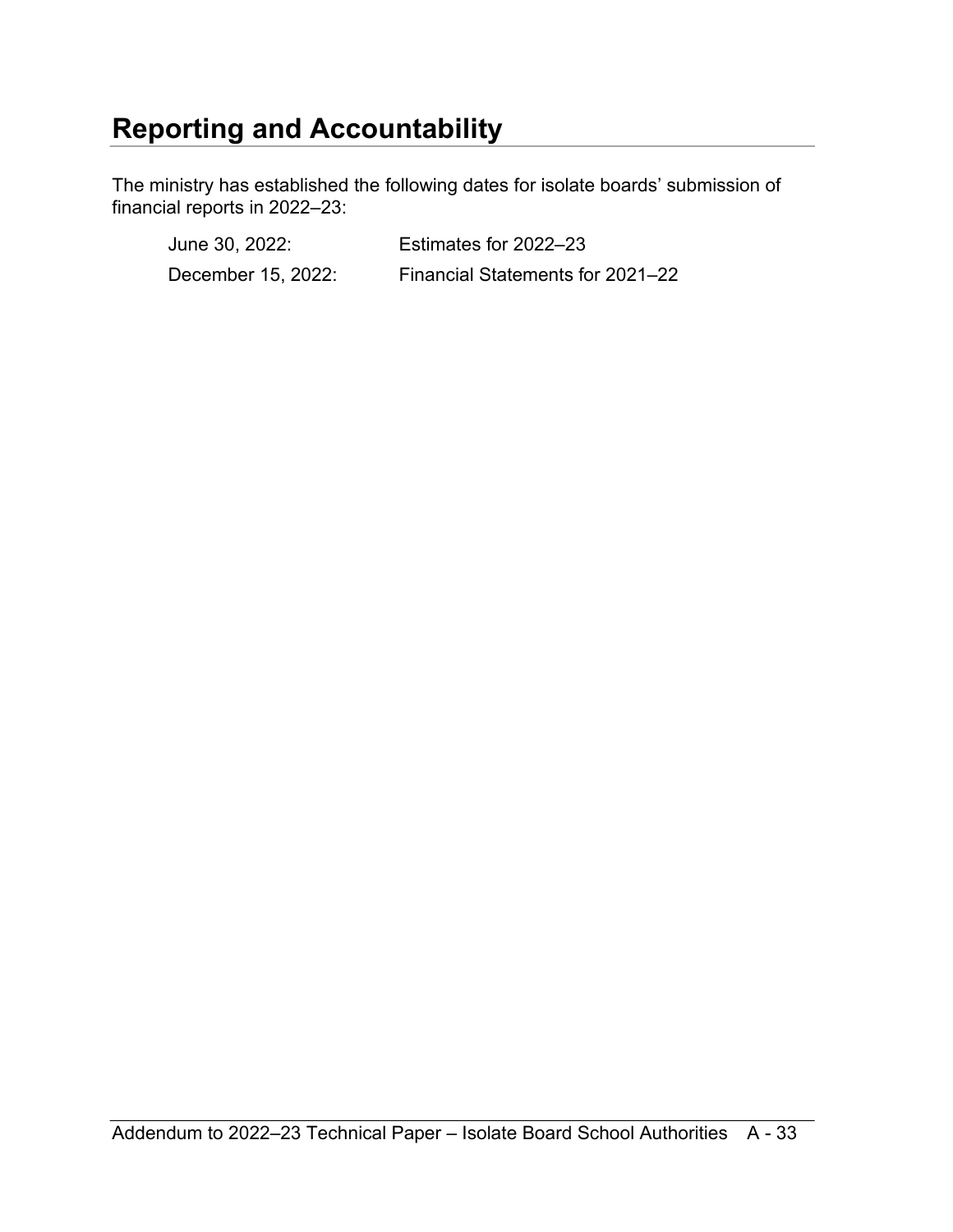### <span id="page-32-0"></span>**Reporting and Accountability**

The ministry has established the following dates for isolate boards' submission of financial reports in 2022–23:

June 30, 2022: Estimates for 2022–23 December 15, 2022: Financial Statements for 2021–22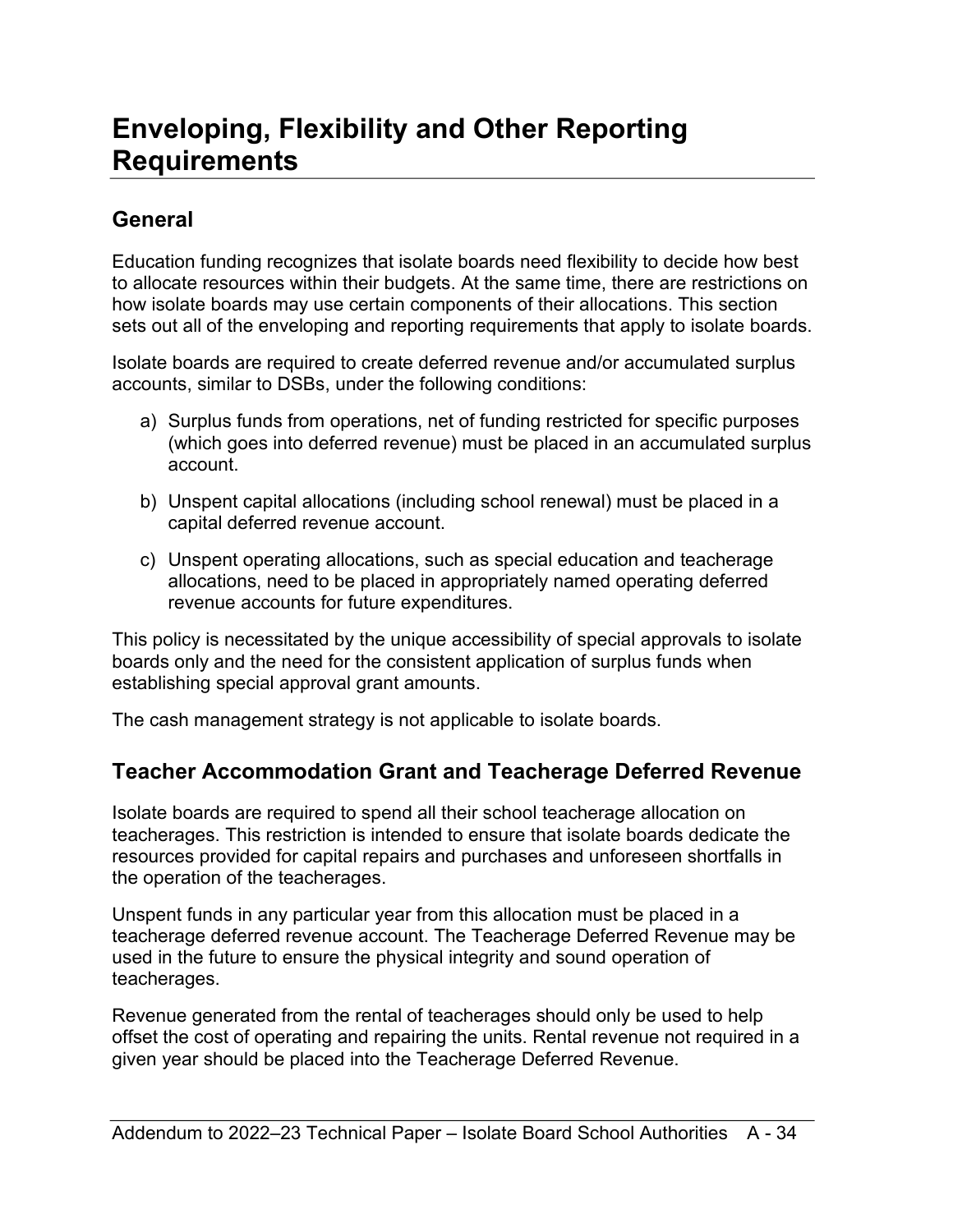### <span id="page-33-0"></span>**Enveloping, Flexibility and Other Reporting Requirements**

### <span id="page-33-1"></span>**General**

Education funding recognizes that isolate boards need flexibility to decide how best to allocate resources within their budgets. At the same time, there are restrictions on how isolate boards may use certain components of their allocations. This section sets out all of the enveloping and reporting requirements that apply to isolate boards.

Isolate boards are required to create deferred revenue and/or accumulated surplus accounts, similar to DSBs, under the following conditions:

- a) Surplus funds from operations, net of funding restricted for specific purposes (which goes into deferred revenue) must be placed in an accumulated surplus account.
- b) Unspent capital allocations (including school renewal) must be placed in a capital deferred revenue account.
- c) Unspent operating allocations, such as special education and teacherage allocations, need to be placed in appropriately named operating deferred revenue accounts for future expenditures.

This policy is necessitated by the unique accessibility of special approvals to isolate boards only and the need for the consistent application of surplus funds when establishing special approval grant amounts.

The cash management strategy is not applicable to isolate boards.

### <span id="page-33-2"></span>**Teacher Accommodation Grant and Teacherage Deferred Revenue**

Isolate boards are required to spend all their school teacherage allocation on teacherages. This restriction is intended to ensure that isolate boards dedicate the resources provided for capital repairs and purchases and unforeseen shortfalls in the operation of the teacherages.

Unspent funds in any particular year from this allocation must be placed in a teacherage deferred revenue account. The Teacherage Deferred Revenue may be used in the future to ensure the physical integrity and sound operation of teacherages.

Revenue generated from the rental of teacherages should only be used to help offset the cost of operating and repairing the units. Rental revenue not required in a given year should be placed into the Teacherage Deferred Revenue.